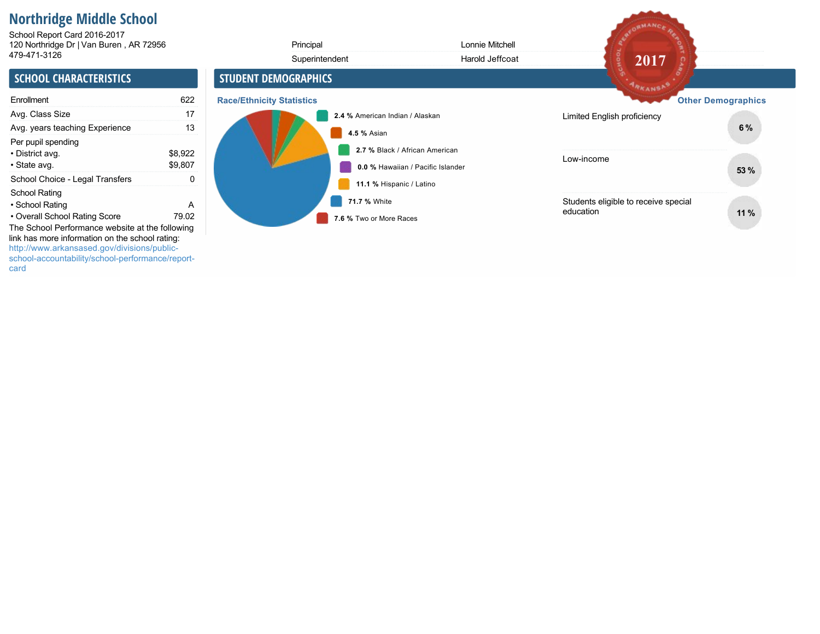# **Northridge Middle School**

120 Northridge Dr | Van Buren , AR 72956 School Report Card 2016-2017

| 120 Northridge Dr   Van Buren, AR 72956                                                                                                                                 |                    | Principal                        | Lonnie Mitchell                                                     |                                                   |                           |
|-------------------------------------------------------------------------------------------------------------------------------------------------------------------------|--------------------|----------------------------------|---------------------------------------------------------------------|---------------------------------------------------|---------------------------|
| 479-471-3126                                                                                                                                                            |                    | Superintendent                   | Harold Jeffcoat                                                     | 2017                                              |                           |
| <b>SCHOOL CHARACTERISTICS</b>                                                                                                                                           |                    | <b>STUDENT DEMOGRAPHICS</b>      |                                                                     | <b>ARKANSAS</b>                                   |                           |
| Enrollment                                                                                                                                                              | 622                | <b>Race/Ethnicity Statistics</b> |                                                                     |                                                   | <b>Other Demographics</b> |
| Avg. Class Size                                                                                                                                                         | 17                 |                                  | 2.4 % American Indian / Alaskan                                     | Limited English proficiency                       |                           |
| Avg. years teaching Experience                                                                                                                                          | 13                 | 4.5 % Asian                      |                                                                     |                                                   | 6%                        |
| Per pupil spending<br>• District avg.<br>• State avg.                                                                                                                   | \$8,922<br>\$9,807 |                                  | 2.7 % Black / African American<br>0.0 % Hawaiian / Pacific Islander | Low-income                                        | 53 %                      |
| School Choice - Legal Transfers                                                                                                                                         | 0                  |                                  | 11.1 % Hispanic / Latino                                            |                                                   |                           |
| School Rating<br>• School Rating<br>• Overall School Rating Score<br>The School Performance website at the following<br>link has more information on the school rating: | A<br>79.02         | 71.7 % White                     | 7.6 % Two or More Races                                             | Students eligible to receive special<br>education | 11%                       |
| http://www.arkansased.gov/divisions/public-<br>school-accountability/school-performance/report-                                                                         |                    |                                  |                                                                     |                                                   |                           |

SECORMANCE REA

card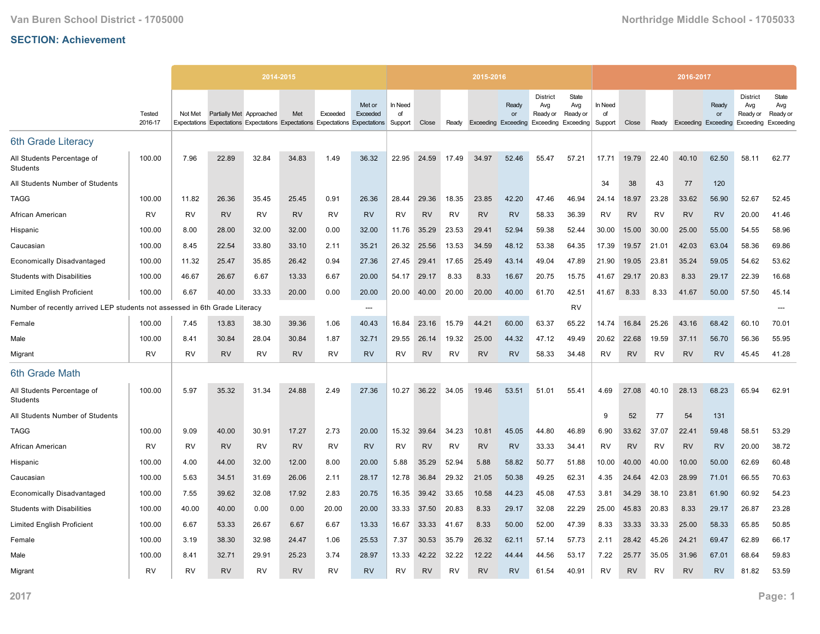|                                                             |                   |         |                          | 2014-2015                                                                     |           |           |                    |                          |           |           | 2015-2016 |                                                        |                                    |                          |                          |           |           | 2016-2017                  |             |                                                 |                                       |
|-------------------------------------------------------------|-------------------|---------|--------------------------|-------------------------------------------------------------------------------|-----------|-----------|--------------------|--------------------------|-----------|-----------|-----------|--------------------------------------------------------|------------------------------------|--------------------------|--------------------------|-----------|-----------|----------------------------|-------------|-------------------------------------------------|---------------------------------------|
|                                                             | Tested<br>2016-17 | Not Met | Partially Met Approached | Expectations Expectations Expectations Expectations Expectations Expectations | Met       | Exceeded  | Met or<br>Exceeded | In Need<br>of<br>Support | Close     | Ready     |           | Ready<br>or<br>Exceeding Exceeding Exceeding Exceeding | <b>District</b><br>Avg<br>Ready or | State<br>Avg<br>Ready or | In Need<br>of<br>Support | Close     | Ready     | <b>Exceeding Exceeding</b> | Ready<br>or | <b>District</b><br>Avg<br>Ready or<br>Exceeding | State<br>Avg<br>Ready or<br>Exceeding |
| 6th Grade Literacy                                          |                   |         |                          |                                                                               |           |           |                    |                          |           |           |           |                                                        |                                    |                          |                          |           |           |                            |             |                                                 |                                       |
| All Students Percentage of<br>Students                      | 100.00            | 7.96    | 22.89                    | 32.84                                                                         | 34.83     | 1.49      | 36.32              | 22.95                    | 24.59     | 17.49     | 34.97     | 52.46                                                  | 55.47                              | 57.21                    | 17.71                    | 19.79     | 22.40     | 40.10                      | 62.50       | 58.11                                           | 62.77                                 |
| All Students Number of Students                             |                   |         |                          |                                                                               |           |           |                    |                          |           |           |           |                                                        |                                    |                          | 34                       | 38        | 43        | 77                         | 120         |                                                 |                                       |
| <b>TAGG</b>                                                 | 100.00            | 11.82   | 26.36                    | 35.45                                                                         | 25.45     | 0.91      | 26.36              | 28.44                    | 29.36     | 18.35     | 23.85     | 42.20                                                  | 47.46                              | 46.94                    | 24.14                    | 18.97     | 23.28     | 33.62                      | 56.90       | 52.67                                           | 52.45                                 |
| African American                                            | <b>RV</b>         | RV      | <b>RV</b>                | <b>RV</b>                                                                     | <b>RV</b> | <b>RV</b> | <b>RV</b>          | <b>RV</b>                | <b>RV</b> | <b>RV</b> | <b>RV</b> | <b>RV</b>                                              | 58.33                              | 36.39                    | <b>RV</b>                | <b>RV</b> | <b>RV</b> | <b>RV</b>                  | <b>RV</b>   | 20.00                                           | 41.46                                 |
| Hispanic                                                    | 100.00            | 8.00    | 28.00                    | 32.00                                                                         | 32.00     | 0.00      | 32.00              | 11.76                    | 35.29     | 23.53     | 29.41     | 52.94                                                  | 59.38                              | 52.44                    | 30.00                    | 15.00     | 30.00     | 25.00                      | 55.00       | 54.55                                           | 58.96                                 |
| Caucasian                                                   | 100.00            | 8.45    | 22.54                    | 33.80                                                                         | 33.10     | 2.11      | 35.21              | 26.32                    | 25.56     | 13.53     | 34.59     | 48.12                                                  | 53.38                              | 64.35                    | 17.39                    | 19.57     | 21.01     | 42.03                      | 63.04       | 58.36                                           | 69.86                                 |
| <b>Economically Disadvantaged</b>                           | 100.00            | 11.32   | 25.47                    | 35.85                                                                         | 26.42     | 0.94      | 27.36              | 27.45                    | 29.41     | 17.65     | 25.49     | 43.14                                                  | 49.04                              | 47.89                    | 21.90                    | 19.05     | 23.81     | 35.24                      | 59.05       | 54.62                                           | 53.62                                 |
| <b>Students with Disabilities</b>                           | 100.00            | 46.67   | 26.67                    | 6.67                                                                          | 13.33     | 6.67      | 20.00              | 54.17                    | 29.17     | 8.33      | 8.33      | 16.67                                                  | 20.75                              | 15.75                    | 41.67                    | 29.17     | 20.83     | 8.33                       | 29.17       | 22.39                                           | 16.68                                 |
| <b>Limited English Proficient</b>                           | 100.00            | 6.67    | 40.00                    | 33.33                                                                         | 20.00     | 0.00      | 20.00              | 20.00                    | 40.00     | 20.00     | 20.00     | 40.00                                                  | 61.70                              | 42.51                    | 41.67                    | 8.33      | 8.33      | 41.67                      | 50.00       | 57.50                                           | 45.14                                 |
| Number of recently arrived LEP students not assessed in 6th |                   |         | Grade Literacy           |                                                                               |           |           | $---$              |                          |           |           |           |                                                        |                                    | <b>RV</b>                |                          |           |           |                            |             |                                                 |                                       |
| Female                                                      | 100.00            | 7.45    | 13.83                    | 38.30                                                                         | 39.36     | 1.06      | 40.43              | 16.84                    | 23.16     | 15.79     | 44.21     | 60.00                                                  | 63.37                              | 65.22                    | 14.74                    | 16.84     | 25.26     | 43.16                      | 68.42       | 60.10                                           | 70.01                                 |
| Male                                                        | 100.00            | 8.41    | 30.84                    | 28.04                                                                         | 30.84     | 1.87      | 32.71              | 29.55                    | 26.14     | 19.32     | 25.00     | 44.32                                                  | 47.12                              | 49.49                    | 20.62                    | 22.68     | 19.59     | 37.11                      | 56.70       | 56.36                                           | 55.95                                 |
| Migrant                                                     | <b>RV</b>         | RV      | <b>RV</b>                | <b>RV</b>                                                                     | <b>RV</b> | RV        | <b>RV</b>          | RV                       | <b>RV</b> | RV        | <b>RV</b> | <b>RV</b>                                              | 58.33                              | 34.48                    | RV                       | <b>RV</b> | <b>RV</b> | <b>RV</b>                  | <b>RV</b>   | 45.45                                           | 41.28                                 |
| 6th Grade Math                                              |                   |         |                          |                                                                               |           |           |                    |                          |           |           |           |                                                        |                                    |                          |                          |           |           |                            |             |                                                 |                                       |
| All Students Percentage of<br>Students                      | 100.00            | 5.97    | 35.32                    | 31.34                                                                         | 24.88     | 2.49      | 27.36              | 10.27                    | 36.22     | 34.05     | 19.46     | 53.51                                                  | 51.01                              | 55.41                    | 4.69                     | 27.08     | 40.10     | 28.13                      | 68.23       | 65.94                                           | 62.91                                 |
| All Students Number of Students                             |                   |         |                          |                                                                               |           |           |                    |                          |           |           |           |                                                        |                                    |                          | 9                        | 52        | 77        | 54                         | 131         |                                                 |                                       |
| TAGG                                                        | 100.00            | 9.09    | 40.00                    | 30.91                                                                         | 17.27     | 2.73      | 20.00              | 15.32                    | 39.64     | 34.23     | 10.81     | 45.05                                                  | 44.80                              | 46.89                    | 6.90                     | 33.62     | 37.07     | 22.41                      | 59.48       | 58.51                                           | 53.29                                 |
| African American                                            | <b>RV</b>         | RV      | <b>RV</b>                | <b>RV</b>                                                                     | <b>RV</b> | <b>RV</b> | <b>RV</b>          | <b>RV</b>                | <b>RV</b> | <b>RV</b> | <b>RV</b> | <b>RV</b>                                              | 33.33                              | 34.41                    | RV                       | <b>RV</b> | <b>RV</b> | <b>RV</b>                  | <b>RV</b>   | 20.00                                           | 38.72                                 |
| Hispanic                                                    | 100.00            | 4.00    | 44.00                    | 32.00                                                                         | 12.00     | 8.00      | 20.00              | 5.88                     | 35.29     | 52.94     | 5.88      | 58.82                                                  | 50.77                              | 51.88                    | 10.00                    | 40.00     | 40.00     | 10.00                      | 50.00       | 62.69                                           | 60.48                                 |
| Caucasian                                                   | 100.00            | 5.63    | 34.51                    | 31.69                                                                         | 26.06     | 2.11      | 28.17              | 12.78                    | 36.84     | 29.32     | 21.05     | 50.38                                                  | 49.25                              | 62.31                    | 4.35                     | 24.64     | 42.03     | 28.99                      | 71.01       | 66.55                                           | 70.63                                 |
| <b>Economically Disadvantaged</b>                           | 100.00            | 7.55    | 39.62                    | 32.08                                                                         | 17.92     | 2.83      | 20.75              | 16.35                    | 39.42     | 33.65     | 10.58     | 44.23                                                  | 45.08                              | 47.53                    | 3.81                     | 34.29     | 38.10     | 23.81                      | 61.90       | 60.92                                           | 54.23                                 |
| <b>Students with Disabilities</b>                           | 100.00            | 40.00   | 40.00                    | 0.00                                                                          | 0.00      | 20.00     | 20.00              | 33.33                    | 37.50     | 20.83     | 8.33      | 29.17                                                  | 32.08                              | 22.29                    | 25.00                    | 45.83     | 20.83     | 8.33                       | 29.17       | 26.87                                           | 23.28                                 |
| <b>Limited English Proficient</b>                           | 100.00            | 6.67    | 53.33                    | 26.67                                                                         | 6.67      | 6.67      | 13.33              | 16.67                    | 33.33     | 41.67     | 8.33      | 50.00                                                  | 52.00                              | 47.39                    | 8.33                     | 33.33     | 33.33     | 25.00                      | 58.33       | 65.85                                           | 50.85                                 |
| Female                                                      | 100.00            | 3.19    | 38.30                    | 32.98                                                                         | 24.47     | 1.06      | 25.53              | 7.37                     | 30.53     | 35.79     | 26.32     | 62.11                                                  | 57.14                              | 57.73                    | 2.11                     | 28.42     | 45.26     | 24.21                      | 69.47       | 62.89                                           | 66.17                                 |
| Male                                                        | 100.00            | 8.41    | 32.71                    | 29.91                                                                         | 25.23     | 3.74      | 28.97              | 13.33                    | 42.22     | 32.22     | 12.22     | 44.44                                                  | 44.56                              | 53.17                    | 7.22                     | 25.77     | 35.05     | 31.96                      | 67.01       | 68.64                                           | 59.83                                 |
| Migrant                                                     | <b>RV</b>         | RV      | <b>RV</b>                | RV                                                                            | <b>RV</b> | <b>RV</b> | <b>RV</b>          | RV                       | <b>RV</b> | RV        | <b>RV</b> | <b>RV</b>                                              | 61.54                              | 40.91                    | RV                       | <b>RV</b> | RV        | <b>RV</b>                  | <b>RV</b>   | 81.82                                           | 53.59                                 |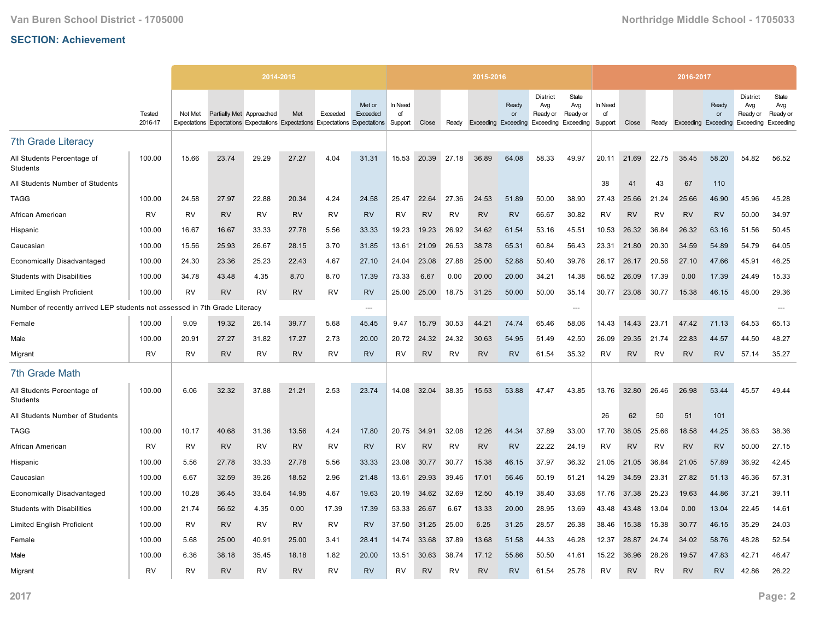|                                                                            |                   |           |                          | 2014-2015 |           |           |                                                                                                     |                          |           |           | 2015-2016 |                                                        |                                    |                          |                          |           |           | 2016-2017                  |             |                                                 |                                       |
|----------------------------------------------------------------------------|-------------------|-----------|--------------------------|-----------|-----------|-----------|-----------------------------------------------------------------------------------------------------|--------------------------|-----------|-----------|-----------|--------------------------------------------------------|------------------------------------|--------------------------|--------------------------|-----------|-----------|----------------------------|-------------|-------------------------------------------------|---------------------------------------|
|                                                                            | Tested<br>2016-17 | Not Met   | Partially Met Approached |           | Met       | Exceeded  | Met or<br>Exceeded<br>Expectations Expectations Expectations Expectations Expectations Expectations | In Need<br>of<br>Support | Close     | Ready     |           | Ready<br>or<br>Exceeding Exceeding Exceeding Exceeding | <b>District</b><br>Avg<br>Ready or | State<br>Avg<br>Ready or | In Need<br>of<br>Support | Close     | Ready     | <b>Exceeding Exceeding</b> | Ready<br>or | <b>District</b><br>Avg<br>Ready or<br>Exceeding | State<br>Avg<br>Ready or<br>Exceeding |
| <b>7th Grade Literacy</b>                                                  |                   |           |                          |           |           |           |                                                                                                     |                          |           |           |           |                                                        |                                    |                          |                          |           |           |                            |             |                                                 |                                       |
| All Students Percentage of<br>Students                                     | 100.00            | 15.66     | 23.74                    | 29.29     | 27.27     | 4.04      | 31.31                                                                                               | 15.53                    | 20.39     | 27.18     | 36.89     | 64.08                                                  | 58.33                              | 49.97                    | 20.11                    | 21.69     | 22.75     | 35.45                      | 58.20       | 54.82                                           | 56.52                                 |
| All Students Number of Students                                            |                   |           |                          |           |           |           |                                                                                                     |                          |           |           |           |                                                        |                                    |                          | 38                       | 41        | 43        | 67                         | 110         |                                                 |                                       |
| <b>TAGG</b>                                                                | 100.00            | 24.58     | 27.97                    | 22.88     | 20.34     | 4.24      | 24.58                                                                                               | 25.47                    | 22.64     | 27.36     | 24.53     | 51.89                                                  | 50.00                              | 38.90                    | 27.43                    | 25.66     | 21.24     | 25.66                      | 46.90       | 45.96                                           | 45.28                                 |
| African American                                                           | <b>RV</b>         | RV        | <b>RV</b>                | <b>RV</b> | <b>RV</b> | <b>RV</b> | <b>RV</b>                                                                                           | <b>RV</b>                | <b>RV</b> | <b>RV</b> | <b>RV</b> | <b>RV</b>                                              | 66.67                              | 30.82                    | <b>RV</b>                | <b>RV</b> | <b>RV</b> | <b>RV</b>                  | <b>RV</b>   | 50.00                                           | 34.97                                 |
| Hispanic                                                                   | 100.00            | 16.67     | 16.67                    | 33.33     | 27.78     | 5.56      | 33.33                                                                                               | 19.23                    | 19.23     | 26.92     | 34.62     | 61.54                                                  | 53.16                              | 45.51                    | 10.53                    | 26.32     | 36.84     | 26.32                      | 63.16       | 51.56                                           | 50.45                                 |
| Caucasian                                                                  | 100.00            | 15.56     | 25.93                    | 26.67     | 28.15     | 3.70      | 31.85                                                                                               | 13.61                    | 21.09     | 26.53     | 38.78     | 65.31                                                  | 60.84                              | 56.43                    | 23.31                    | 21.80     | 20.30     | 34.59                      | 54.89       | 54.79                                           | 64.05                                 |
| <b>Economically Disadvantaged</b>                                          | 100.00            | 24.30     | 23.36                    | 25.23     | 22.43     | 4.67      | 27.10                                                                                               | 24.04                    | 23.08     | 27.88     | 25.00     | 52.88                                                  | 50.40                              | 39.76                    | 26.17                    | 26.17     | 20.56     | 27.10                      | 47.66       | 45.91                                           | 46.25                                 |
| <b>Students with Disabilities</b>                                          | 100.00            | 34.78     | 43.48                    | 4.35      | 8.70      | 8.70      | 17.39                                                                                               | 73.33                    | 6.67      | 0.00      | 20.00     | 20.00                                                  | 34.21                              | 14.38                    | 56.52                    | 26.09     | 17.39     | 0.00                       | 17.39       | 24.49                                           | 15.33                                 |
| <b>Limited English Proficient</b>                                          | 100.00            | <b>RV</b> | <b>RV</b>                | <b>RV</b> | <b>RV</b> | <b>RV</b> | <b>RV</b>                                                                                           | 25.00                    | 25.00     | 18.75     | 31.25     | 50.00                                                  | 50.00                              | 35.14                    | 30.77                    | 23.08     | 30.77     | 15.38                      | 46.15       | 48.00                                           | 29.36                                 |
| Number of recently arrived LEP students not assessed in 7th Grade Literacy |                   |           |                          |           |           |           | $---$                                                                                               |                          |           |           |           |                                                        |                                    | ---                      |                          |           |           |                            |             |                                                 |                                       |
| Female                                                                     | 100.00            | 9.09      | 19.32                    | 26.14     | 39.77     | 5.68      | 45.45                                                                                               | 9.47                     | 15.79     | 30.53     | 44.21     | 74.74                                                  | 65.46                              | 58.06                    | 14.43                    | 14.43     | 23.71     | 47.42                      | 71.13       | 64.53                                           | 65.13                                 |
| Male                                                                       | 100.00            | 20.91     | 27.27                    | 31.82     | 17.27     | 2.73      | 20.00                                                                                               | 20.72                    | 24.32     | 24.32     | 30.63     | 54.95                                                  | 51.49                              | 42.50                    | 26.09                    | 29.35     | 21.74     | 22.83                      | 44.57       | 44.50                                           | 48.27                                 |
| Migrant                                                                    | <b>RV</b>         | RV        | <b>RV</b>                | <b>RV</b> | <b>RV</b> | RV        | <b>RV</b>                                                                                           | RV                       | <b>RV</b> | RV        | <b>RV</b> | <b>RV</b>                                              | 61.54                              | 35.32                    | RV                       | <b>RV</b> | <b>RV</b> | <b>RV</b>                  | <b>RV</b>   | 57.14                                           | 35.27                                 |
| <b>7th Grade Math</b>                                                      |                   |           |                          |           |           |           |                                                                                                     |                          |           |           |           |                                                        |                                    |                          |                          |           |           |                            |             |                                                 |                                       |
| All Students Percentage of<br>Students                                     | 100.00            | 6.06      | 32.32                    | 37.88     | 21.21     | 2.53      | 23.74                                                                                               | 14.08                    | 32.04     | 38.35     | 15.53     | 53.88                                                  | 47.47                              | 43.85                    | 13.76                    | 32.80     | 26.46     | 26.98                      | 53.44       | 45.57                                           | 49.44                                 |
| All Students Number of Students                                            |                   |           |                          |           |           |           |                                                                                                     |                          |           |           |           |                                                        |                                    |                          | 26                       | 62        | 50        | 51                         | 101         |                                                 |                                       |
| TAGG                                                                       | 100.00            | 10.17     | 40.68                    | 31.36     | 13.56     | 4.24      | 17.80                                                                                               | 20.75                    | 34.91     | 32.08     | 12.26     | 44.34                                                  | 37.89                              | 33.00                    | 17.70                    | 38.05     | 25.66     | 18.58                      | 44.25       | 36.63                                           | 38.36                                 |
| African American                                                           | <b>RV</b>         | RV        | <b>RV</b>                | <b>RV</b> | <b>RV</b> | <b>RV</b> | <b>RV</b>                                                                                           | <b>RV</b>                | <b>RV</b> | <b>RV</b> | <b>RV</b> | <b>RV</b>                                              | 22.22                              | 24.19                    | RV                       | <b>RV</b> | <b>RV</b> | <b>RV</b>                  | <b>RV</b>   | 50.00                                           | 27.15                                 |
| Hispanic                                                                   | 100.00            | 5.56      | 27.78                    | 33.33     | 27.78     | 5.56      | 33.33                                                                                               | 23.08                    | 30.77     | 30.77     | 15.38     | 46.15                                                  | 37.97                              | 36.32                    | 21.05                    | 21.05     | 36.84     | 21.05                      | 57.89       | 36.92                                           | 42.45                                 |
| Caucasian                                                                  | 100.00            | 6.67      | 32.59                    | 39.26     | 18.52     | 2.96      | 21.48                                                                                               | 13.61                    | 29.93     | 39.46     | 17.01     | 56.46                                                  | 50.19                              | 51.21                    | 14.29                    | 34.59     | 23.31     | 27.82                      | 51.13       | 46.36                                           | 57.31                                 |
| <b>Economically Disadvantaged</b>                                          | 100.00            | 10.28     | 36.45                    | 33.64     | 14.95     | 4.67      | 19.63                                                                                               | 20.19                    | 34.62     | 32.69     | 12.50     | 45.19                                                  | 38.40                              | 33.68                    | 17.76                    | 37.38     | 25.23     | 19.63                      | 44.86       | 37.21                                           | 39.11                                 |
| <b>Students with Disabilities</b>                                          | 100.00            | 21.74     | 56.52                    | 4.35      | 0.00      | 17.39     | 17.39                                                                                               | 53.33                    | 26.67     | 6.67      | 13.33     | 20.00                                                  | 28.95                              | 13.69                    | 43.48                    | 43.48     | 13.04     | 0.00                       | 13.04       | 22.45                                           | 14.61                                 |
| <b>Limited English Proficient</b>                                          | 100.00            | RV        | <b>RV</b>                | RV        | <b>RV</b> | <b>RV</b> | <b>RV</b>                                                                                           | 37.50                    | 31.25     | 25.00     | 6.25      | 31.25                                                  | 28.57                              | 26.38                    | 38.46                    | 15.38     | 15.38     | 30.77                      | 46.15       | 35.29                                           | 24.03                                 |
| Female                                                                     | 100.00            | 5.68      | 25.00                    | 40.91     | 25.00     | 3.41      | 28.41                                                                                               | 14.74                    | 33.68     | 37.89     | 13.68     | 51.58                                                  | 44.33                              | 46.28                    | 12.37                    | 28.87     | 24.74     | 34.02                      | 58.76       | 48.28                                           | 52.54                                 |
| Male                                                                       | 100.00            | 6.36      | 38.18                    | 35.45     | 18.18     | 1.82      | 20.00                                                                                               | 13.51                    | 30.63     | 38.74     | 17.12     | 55.86                                                  | 50.50                              | 41.61                    | 15.22                    | 36.96     | 28.26     | 19.57                      | 47.83       | 42.71                                           | 46.47                                 |
| Migrant                                                                    | <b>RV</b>         | RV        | <b>RV</b>                | RV        | <b>RV</b> | <b>RV</b> | <b>RV</b>                                                                                           | RV                       | <b>RV</b> | RV        | <b>RV</b> | <b>RV</b>                                              | 61.54                              | 25.78                    | RV                       | <b>RV</b> | RV        | <b>RV</b>                  | <b>RV</b>   | 42.86                                           | 26.22                                 |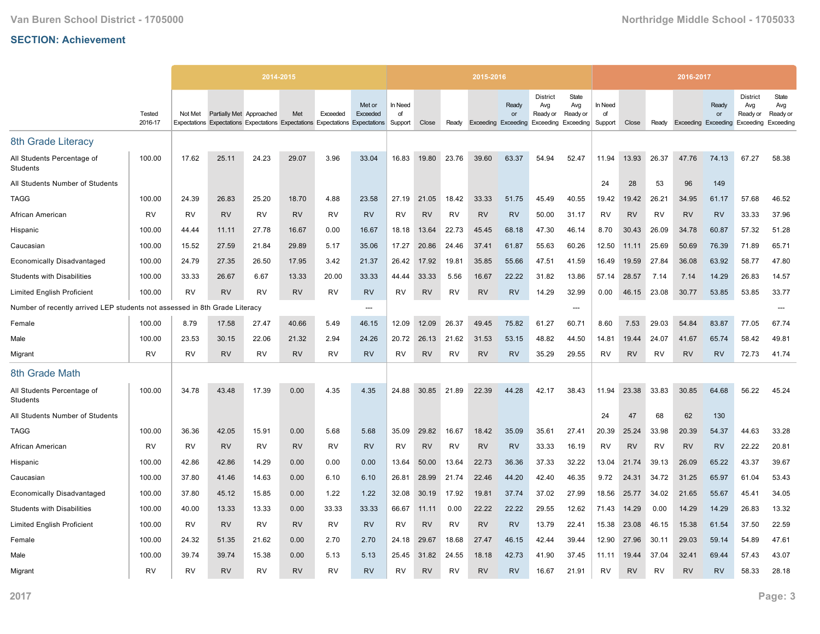|                                                             |                   |           |                          | 2014-2015                                                                     |           |           |                    |                          |           |           | 2015-2016 |             |                                                                               |                          |                          |           |           | 2016-2017                  |             |                                                 |                                       |
|-------------------------------------------------------------|-------------------|-----------|--------------------------|-------------------------------------------------------------------------------|-----------|-----------|--------------------|--------------------------|-----------|-----------|-----------|-------------|-------------------------------------------------------------------------------|--------------------------|--------------------------|-----------|-----------|----------------------------|-------------|-------------------------------------------------|---------------------------------------|
|                                                             | Tested<br>2016-17 | Not Met   | Partially Met Approached | Expectations Expectations Expectations Expectations Expectations Expectations | Met       | Exceeded  | Met or<br>Exceeded | In Need<br>of<br>Support | Close     | Ready     |           | Ready<br>or | <b>District</b><br>Avg<br>Ready or<br>Exceeding Exceeding Exceeding Exceeding | State<br>Avg<br>Ready or | In Need<br>of<br>Support | Close     | Ready     | <b>Exceeding Exceeding</b> | Ready<br>or | <b>District</b><br>Avg<br>Ready or<br>Exceeding | State<br>Avg<br>Ready or<br>Exceeding |
| 8th Grade Literacy                                          |                   |           |                          |                                                                               |           |           |                    |                          |           |           |           |             |                                                                               |                          |                          |           |           |                            |             |                                                 |                                       |
| All Students Percentage of<br>Students                      | 100.00            | 17.62     | 25.11                    | 24.23                                                                         | 29.07     | 3.96      | 33.04              | 16.83                    | 19.80     | 23.76     | 39.60     | 63.37       | 54.94                                                                         | 52.47                    | 11.94                    | 13.93     | 26.37     | 47.76                      | 74.13       | 67.27                                           | 58.38                                 |
| All Students Number of Students                             |                   |           |                          |                                                                               |           |           |                    |                          |           |           |           |             |                                                                               |                          | 24                       | 28        | 53        | 96                         | 149         |                                                 |                                       |
| <b>TAGG</b>                                                 | 100.00            | 24.39     | 26.83                    | 25.20                                                                         | 18.70     | 4.88      | 23.58              | 27.19                    | 21.05     | 18.42     | 33.33     | 51.75       | 45.49                                                                         | 40.55                    | 19.42                    | 19.42     | 26.21     | 34.95                      | 61.17       | 57.68                                           | 46.52                                 |
| African American                                            | <b>RV</b>         | <b>RV</b> | <b>RV</b>                | <b>RV</b>                                                                     | <b>RV</b> | <b>RV</b> | <b>RV</b>          | <b>RV</b>                | <b>RV</b> | <b>RV</b> | <b>RV</b> | <b>RV</b>   | 50.00                                                                         | 31.17                    | <b>RV</b>                | <b>RV</b> | <b>RV</b> | <b>RV</b>                  | <b>RV</b>   | 33.33                                           | 37.96                                 |
| Hispanic                                                    | 100.00            | 44.44     | 11.11                    | 27.78                                                                         | 16.67     | 0.00      | 16.67              | 18.18                    | 13.64     | 22.73     | 45.45     | 68.18       | 47.30                                                                         | 46.14                    | 8.70                     | 30.43     | 26.09     | 34.78                      | 60.87       | 57.32                                           | 51.28                                 |
| Caucasian                                                   | 100.00            | 15.52     | 27.59                    | 21.84                                                                         | 29.89     | 5.17      | 35.06              | 17.27                    | 20.86     | 24.46     | 37.41     | 61.87       | 55.63                                                                         | 60.26                    | 12.50                    | 11.11     | 25.69     | 50.69                      | 76.39       | 71.89                                           | 65.71                                 |
| <b>Economically Disadvantaged</b>                           | 100.00            | 24.79     | 27.35                    | 26.50                                                                         | 17.95     | 3.42      | 21.37              | 26.42                    | 17.92     | 19.81     | 35.85     | 55.66       | 47.51                                                                         | 41.59                    | 16.49                    | 19.59     | 27.84     | 36.08                      | 63.92       | 58.77                                           | 47.80                                 |
| <b>Students with Disabilities</b>                           | 100.00            | 33.33     | 26.67                    | 6.67                                                                          | 13.33     | 20.00     | 33.33              | 44.44                    | 33.33     | 5.56      | 16.67     | 22.22       | 31.82                                                                         | 13.86                    | 57.14                    | 28.57     | 7.14      | 7.14                       | 14.29       | 26.83                                           | 14.57                                 |
| <b>Limited English Proficient</b>                           | 100.00            | <b>RV</b> | <b>RV</b>                | <b>RV</b>                                                                     | <b>RV</b> | <b>RV</b> | <b>RV</b>          | <b>RV</b>                | <b>RV</b> | <b>RV</b> | <b>RV</b> | <b>RV</b>   | 14.29                                                                         | 32.99                    | 0.00                     | 46.15     | 23.08     | 30.77                      | 53.85       | 53.85                                           | 33.77                                 |
| Number of recently arrived LEP students not assessed in 8th |                   |           | Grade Literacy           |                                                                               |           |           | ---                |                          |           |           |           |             |                                                                               | ---                      |                          |           |           |                            |             |                                                 |                                       |
| Female                                                      | 100.00            | 8.79      | 17.58                    | 27.47                                                                         | 40.66     | 5.49      | 46.15              | 12.09                    | 12.09     | 26.37     | 49.45     | 75.82       | 61.27                                                                         | 60.71                    | 8.60                     | 7.53      | 29.03     | 54.84                      | 83.87       | 77.05                                           | 67.74                                 |
| Male                                                        | 100.00            | 23.53     | 30.15                    | 22.06                                                                         | 21.32     | 2.94      | 24.26              | 20.72                    | 26.13     | 21.62     | 31.53     | 53.15       | 48.82                                                                         | 44.50                    | 14.81                    | 19.44     | 24.07     | 41.67                      | 65.74       | 58.42                                           | 49.81                                 |
| Migrant                                                     | <b>RV</b>         | RV        | <b>RV</b>                | RV                                                                            | <b>RV</b> | RV        | <b>RV</b>          | RV                       | <b>RV</b> | RV        | <b>RV</b> | <b>RV</b>   | 35.29                                                                         | 29.55                    | <b>RV</b>                | <b>RV</b> | <b>RV</b> | <b>RV</b>                  | <b>RV</b>   | 72.73                                           | 41.74                                 |
| 8th Grade Math                                              |                   |           |                          |                                                                               |           |           |                    |                          |           |           |           |             |                                                                               |                          |                          |           |           |                            |             |                                                 |                                       |
| All Students Percentage of<br><b>Students</b>               | 100.00            | 34.78     | 43.48                    | 17.39                                                                         | 0.00      | 4.35      | 4.35               | 24.88                    | 30.85     | 21.89     | 22.39     | 44.28       | 42.17                                                                         | 38.43                    | 11.94                    | 23.38     | 33.83     | 30.85                      | 64.68       | 56.22                                           | 45.24                                 |
| All Students Number of Students                             |                   |           |                          |                                                                               |           |           |                    |                          |           |           |           |             |                                                                               |                          | 24                       | 47        | 68        | 62                         | 130         |                                                 |                                       |
| TAGG                                                        | 100.00            | 36.36     | 42.05                    | 15.91                                                                         | 0.00      | 5.68      | 5.68               | 35.09                    | 29.82     | 16.67     | 18.42     | 35.09       | 35.61                                                                         | 27.41                    | 20.39                    | 25.24     | 33.98     | 20.39                      | 54.37       | 44.63                                           | 33.28                                 |
| African American                                            | <b>RV</b>         | <b>RV</b> | <b>RV</b>                | <b>RV</b>                                                                     | <b>RV</b> | <b>RV</b> | <b>RV</b>          | <b>RV</b>                | <b>RV</b> | <b>RV</b> | <b>RV</b> | <b>RV</b>   | 33.33                                                                         | 16.19                    | <b>RV</b>                | <b>RV</b> | <b>RV</b> | <b>RV</b>                  | <b>RV</b>   | 22.22                                           | 20.81                                 |
| Hispanic                                                    | 100.00            | 42.86     | 42.86                    | 14.29                                                                         | 0.00      | 0.00      | 0.00               | 13.64                    | 50.00     | 13.64     | 22.73     | 36.36       | 37.33                                                                         | 32.22                    | 13.04                    | 21.74     | 39.13     | 26.09                      | 65.22       | 43.37                                           | 39.67                                 |
| Caucasian                                                   | 100.00            | 37.80     | 41.46                    | 14.63                                                                         | 0.00      | 6.10      | 6.10               | 26.81                    | 28.99     | 21.74     | 22.46     | 44.20       | 42.40                                                                         | 46.35                    | 9.72                     | 24.31     | 34.72     | 31.25                      | 65.97       | 61.04                                           | 53.43                                 |
| <b>Economically Disadvantaged</b>                           | 100.00            | 37.80     | 45.12                    | 15.85                                                                         | 0.00      | 1.22      | 1.22               | 32.08                    | 30.19     | 17.92     | 19.81     | 37.74       | 37.02                                                                         | 27.99                    | 18.56                    | 25.77     | 34.02     | 21.65                      | 55.67       | 45.41                                           | 34.05                                 |
| <b>Students with Disabilities</b>                           | 100.00            | 40.00     | 13.33                    | 13.33                                                                         | 0.00      | 33.33     | 33.33              | 66.67                    | 11.11     | 0.00      | 22.22     | 22.22       | 29.55                                                                         | 12.62                    | 71.43                    | 14.29     | 0.00      | 14.29                      | 14.29       | 26.83                                           | 13.32                                 |
| <b>Limited English Proficient</b>                           | 100.00            | RV        | <b>RV</b>                | RV                                                                            | <b>RV</b> | <b>RV</b> | <b>RV</b>          | <b>RV</b>                | <b>RV</b> | RV        | <b>RV</b> | <b>RV</b>   | 13.79                                                                         | 22.41                    | 15.38                    | 23.08     | 46.15     | 15.38                      | 61.54       | 37.50                                           | 22.59                                 |
| Female                                                      | 100.00            | 24.32     | 51.35                    | 21.62                                                                         | 0.00      | 2.70      | 2.70               | 24.18                    | 29.67     | 18.68     | 27.47     | 46.15       | 42.44                                                                         | 39.44                    | 12.90                    | 27.96     | 30.11     | 29.03                      | 59.14       | 54.89                                           | 47.61                                 |
| Male                                                        | 100.00            | 39.74     | 39.74                    | 15.38                                                                         | 0.00      | 5.13      | 5.13               | 25.45                    | 31.82     | 24.55     | 18.18     | 42.73       | 41.90                                                                         | 37.45                    | 11.11                    | 19.44     | 37.04     | 32.41                      | 69.44       | 57.43                                           | 43.07                                 |
| Migrant                                                     | <b>RV</b>         | RV        | <b>RV</b>                | RV                                                                            | <b>RV</b> | <b>RV</b> | <b>RV</b>          | RV                       | <b>RV</b> | RV        | <b>RV</b> | <b>RV</b>   | 16.67                                                                         | 21.91                    | <b>RV</b>                | <b>RV</b> | RV        | <b>RV</b>                  | <b>RV</b>   | 58.33                                           | 28.18                                 |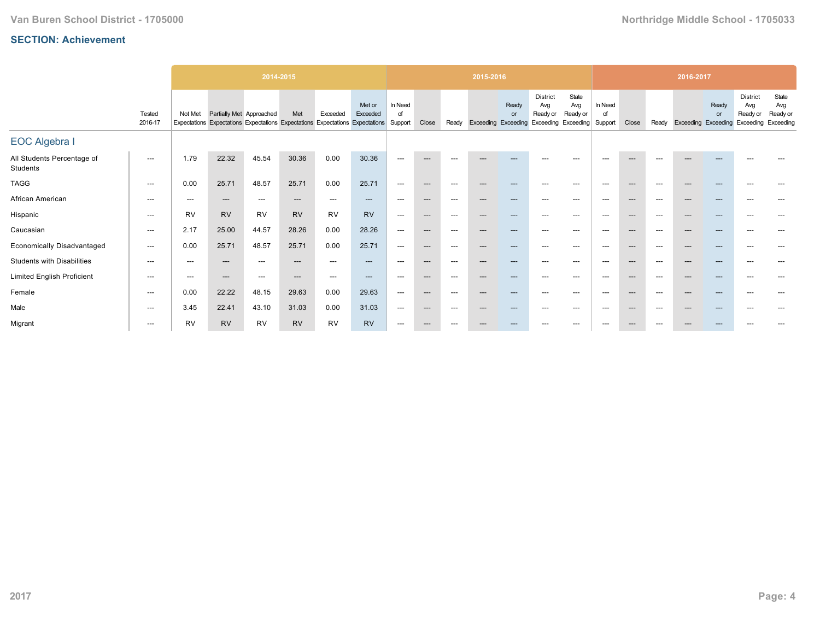|                                        |                          |                          |                                                                                              | 2014-2015 |           |           |                                    |                          |                          |                          | 2015-2016                  |             |                                                 |                                       |                          |                          |       | 2016-2017                  |             |                                                 |                                       |
|----------------------------------------|--------------------------|--------------------------|----------------------------------------------------------------------------------------------|-----------|-----------|-----------|------------------------------------|--------------------------|--------------------------|--------------------------|----------------------------|-------------|-------------------------------------------------|---------------------------------------|--------------------------|--------------------------|-------|----------------------------|-------------|-------------------------------------------------|---------------------------------------|
|                                        | Tested<br>2016-17        | Not Met                  | Partially Met Approached<br>Expectations Expectations Expectations Expectations Expectations |           | Met       | Exceeded  | Met or<br>Exceeded<br>Expectations | In Need<br>of<br>Support | Close                    | Ready                    | <b>Exceeding Exceeding</b> | Ready<br>or | <b>District</b><br>Avg<br>Ready or<br>Exceeding | State<br>Avg<br>Ready or<br>Exceeding | In Need<br>of<br>Support | Close                    | Ready | <b>Exceeding Exceeding</b> | Ready<br>or | <b>District</b><br>Avg<br>Ready or<br>Exceeding | State<br>Avg<br>Ready or<br>Exceeding |
| <b>EOC Algebra I</b>                   |                          |                          |                                                                                              |           |           |           |                                    |                          |                          |                          |                            |             |                                                 |                                       |                          |                          |       |                            |             |                                                 |                                       |
| All Students Percentage of<br>Students | $---$                    | 1.79                     | 22.32                                                                                        | 45.54     | 30.36     | 0.00      | 30.36                              | $---$                    | $---$                    | ---                      | $---$                      | $---$       | $---$                                           | $---$                                 | $\hspace{0.05cm} \ldots$ | $---$                    | $---$ | $---$                      | ---         |                                                 |                                       |
| <b>TAGG</b>                            | $\hspace{0.05cm} \ldots$ | 0.00                     | 25.71                                                                                        | 48.57     | 25.71     | 0.00      | 25.71                              | ---                      | $\hspace{0.05cm} \ldots$ | $\hspace{0.05cm} \ldots$ | ---                        | $--$        | $---$                                           | $---$                                 | $\hspace{0.05cm} \ldots$ | $\hspace{0.05cm} \ldots$ | $---$ | ---                        | $---$       | $---$                                           |                                       |
| African American                       | $\hspace{0.05cm} \ldots$ | $---$                    | $---$                                                                                        | ---       | $---$     | $---$     | $---$                              | $---$                    | $---$                    | $---$                    | ---                        | ---         | $---$                                           | $---$                                 | $---$                    | $---$                    | $---$ | $\hspace{0.05cm} \cdots$   | ---         | ---                                             |                                       |
| Hispanic                               | $\hspace{0.05cm} \ldots$ | <b>RV</b>                | <b>RV</b>                                                                                    | <b>RV</b> | <b>RV</b> | <b>RV</b> | <b>RV</b>                          | $---$                    | $---$                    | ---                      | ---                        | ---         |                                                 | $---$                                 | $---$                    | $---$                    | $---$ | ---                        | ---         |                                                 |                                       |
| Caucasian                              | $\hspace{0.05cm} \ldots$ | 2.17                     | 25.00                                                                                        | 44.57     | 28.26     | 0.00      | 28.26                              | ---                      | $\hspace{0.05cm} \ldots$ | $\hspace{0.05cm} \ldots$ | $---$                      | $---$       | ---                                             | $--$                                  | $\hspace{0.05cm} \ldots$ | $\hspace{0.05cm} \ldots$ | ---   | ---                        | $---$       | $---$                                           | ---                                   |
| <b>Economically Disadvantaged</b>      | $---$                    | 0.00                     | 25.71                                                                                        | 48.57     | 25.71     | 0.00      | 25.71                              | ---                      | $---$                    | $---$                    | $---$                      | ---         | $---$                                           | $---$                                 | $\hspace{0.05cm} \ldots$ | $---$                    | $---$ | $---$                      | ---         | ---                                             |                                       |
| <b>Students with Disabilities</b>      | $---$                    | $\hspace{0.05cm} \ldots$ | $\qquad \qquad \cdots$                                                                       | ---       | $---$     | $---$     | $---$                              | $---$                    | $---$                    | $---$                    | ---                        | ---         | $---$                                           | $---$                                 | $\hspace{0.05cm} \ldots$ | $---$                    | $---$ | ---                        | ---         | $---$                                           |                                       |
| <b>Limited English Proficient</b>      | $---$                    | $---$                    | $---$                                                                                        | $---$     | $---$     | $---$     | $---$                              | $---$                    | $---$                    | $---$                    | ---                        | ---         | $---$                                           | $---$                                 | $---$                    | $---$                    | $---$ | ---                        | $---$       | $---$                                           | $---$                                 |
| Female                                 | $---$                    | 0.00                     | 22.22                                                                                        | 48.15     | 29.63     | 0.00      | 29.63                              | $---$                    | $---$                    | $---$                    | ---                        | ---         | $\overline{\phantom{a}}$                        | $---$                                 | $\hspace{0.05cm} \ldots$ | $---$                    | $---$ | $\hspace{0.05cm} \cdots$   | ---         | ---                                             |                                       |
| Male                                   | $---$                    | 3.45                     | 22.41                                                                                        | 43.10     | 31.03     | 0.00      | 31.03                              | $---$                    | $---$                    | $---$                    | ---                        | ---         |                                                 | $---$                                 | $\hspace{0.05cm} \ldots$ | $---$                    | $---$ | $---$                      | ---         |                                                 |                                       |
| Migrant                                | $---$                    | <b>RV</b>                | <b>RV</b>                                                                                    | <b>RV</b> | <b>RV</b> | <b>RV</b> | <b>RV</b>                          | ---                      | $---$                    | ---                      |                            |             |                                                 | $- - -$                               | $---$                    | ---                      | ---   |                            |             |                                                 |                                       |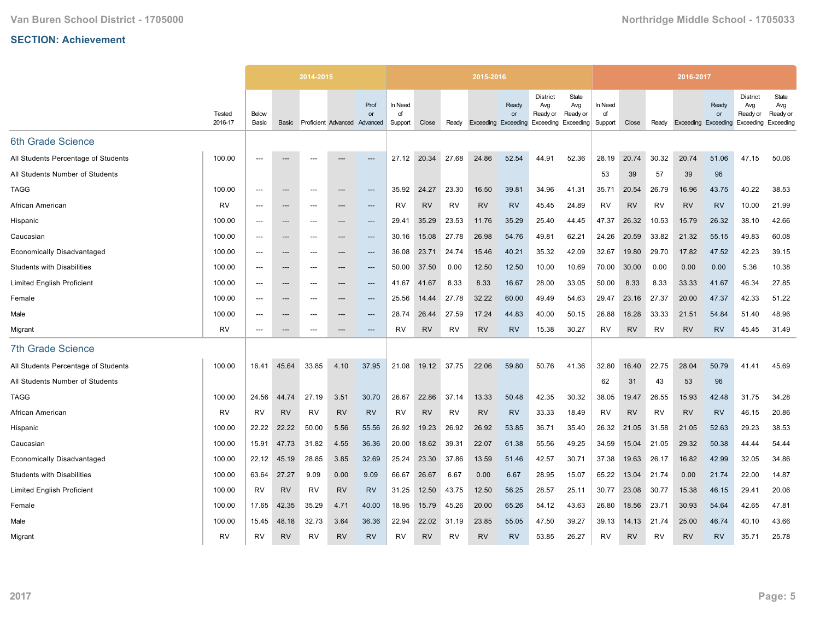|                                     |                   |                |                          | 2014-2015 |                     |                        |                          |           |           | 2015-2016                  |                    |                                                                  |                          |                          |           |           | 2016-2017 |                                 |                                                 |                                       |
|-------------------------------------|-------------------|----------------|--------------------------|-----------|---------------------|------------------------|--------------------------|-----------|-----------|----------------------------|--------------------|------------------------------------------------------------------|--------------------------|--------------------------|-----------|-----------|-----------|---------------------------------|-------------------------------------------------|---------------------------------------|
|                                     | Tested<br>2016-17 | Below<br>Basic | Basic                    |           | Proficient Advanced | Prof<br>or<br>Advanced | In Need<br>of<br>Support | Close     | Ready     | <b>Exceeding Exceeding</b> | Ready<br><b>or</b> | <b>District</b><br>Avg<br>Ready or<br><b>Exceeding Exceeding</b> | State<br>Avg<br>Ready or | In Need<br>of<br>Support | Close     | Ready     | Exceeding | Ready<br><b>or</b><br>Exceeding | <b>District</b><br>Avg<br>Ready or<br>Exceeding | State<br>Avg<br>Ready or<br>Exceeding |
| 6th Grade Science                   |                   |                |                          |           |                     |                        |                          |           |           |                            |                    |                                                                  |                          |                          |           |           |           |                                 |                                                 |                                       |
| All Students Percentage of Students | 100.00            | ---            |                          | ---       |                     | $---$                  | 27.12                    | 20.34     | 27.68     | 24.86                      | 52.54              | 44.91                                                            | 52.36                    | 28.19                    | 20.74     | 30.32     | 20.74     | 51.06                           | 47.15                                           | 50.06                                 |
| All Students Number of Students     |                   |                |                          |           |                     |                        |                          |           |           |                            |                    |                                                                  |                          | 53                       | 39        | 57        | 39        | 96                              |                                                 |                                       |
| <b>TAGG</b>                         | 100.00            | $---$          | $---$                    | $---$     | ---                 | ---                    | 35.92                    | 24.27     | 23.30     | 16.50                      | 39.81              | 34.96                                                            | 41.31                    | 35.71                    | 20.54     | 26.79     | 16.96     | 43.75                           | 40.22                                           | 38.53                                 |
| African American                    | <b>RV</b>         | ---            | $\hspace{0.05cm} \ldots$ | $---$     | ---                 | $---$                  | <b>RV</b>                | <b>RV</b> | <b>RV</b> | <b>RV</b>                  | <b>RV</b>          | 45.45                                                            | 24.89                    | <b>RV</b>                | <b>RV</b> | <b>RV</b> | <b>RV</b> | <b>RV</b>                       | 10.00                                           | 21.99                                 |
| Hispanic                            | 100.00            | $---$          | $---$                    | ---       | ---                 | $---$                  | 29.41                    | 35.29     | 23.53     | 11.76                      | 35.29              | 25.40                                                            | 44.45                    | 47.37                    | 26.32     | 10.53     | 15.79     | 26.32                           | 38.10                                           | 42.66                                 |
| Caucasian                           | 100.00            | $---$          | $---$                    | $---$     | ---                 | $---$                  | 30.16                    | 15.08     | 27.78     | 26.98                      | 54.76              | 49.81                                                            | 62.21                    | 24.26                    | 20.59     | 33.82     | 21.32     | 55.15                           | 49.83                                           | 60.08                                 |
| <b>Economically Disadvantaged</b>   | 100.00            | ---            | $\hspace{0.05cm} \cdots$ | ---       | ---                 | ---                    | 36.08                    | 23.71     | 24.74     | 15.46                      | 40.21              | 35.32                                                            | 42.09                    | 32.67                    | 19.80     | 29.70     | 17.82     | 47.52                           | 42.23                                           | 39.15                                 |
| <b>Students with Disabilities</b>   | 100.00            | $---$          | $---$                    | $---$     | ---                 | $---$                  | 50.00                    | 37.50     | 0.00      | 12.50                      | 12.50              | 10.00                                                            | 10.69                    | 70.00                    | 30.00     | 0.00      | 0.00      | 0.00                            | 5.36                                            | 10.38                                 |
| <b>Limited English Proficient</b>   | 100.00            | ---            | $\hspace{0.05cm} \ldots$ | $---$     | ---                 | $---$                  | 41.67                    | 41.67     | 8.33      | 8.33                       | 16.67              | 28.00                                                            | 33.05                    | 50.00                    | 8.33      | 8.33      | 33.33     | 41.67                           | 46.34                                           | 27.85                                 |
| Female                              | 100.00            | ---            | ---                      | ---       | ---                 | ---                    | 25.56                    | 14.44     | 27.78     | 32.22                      | 60.00              | 49.49                                                            | 54.63                    | 29.47                    | 23.16     | 27.37     | 20.00     | 47.37                           | 42.33                                           | 51.22                                 |
| Male                                | 100.00            | $---$          | $---$                    | $---$     | ---                 | $---$                  | 28.74                    | 26.44     | 27.59     | 17.24                      | 44.83              | 40.00                                                            | 50.15                    | 26.88                    | 18.28     | 33.33     | 21.51     | 54.84                           | 51.40                                           | 48.96                                 |
| Migrant                             | <b>RV</b>         | $---$          | $\hspace{0.05cm} \ldots$ | $---$     | ---                 | ---                    | <b>RV</b>                | <b>RV</b> | <b>RV</b> | <b>RV</b>                  | <b>RV</b>          | 15.38                                                            | 30.27                    | <b>RV</b>                | <b>RV</b> | <b>RV</b> | <b>RV</b> | <b>RV</b>                       | 45.45                                           | 31.49                                 |
| <b>7th Grade Science</b>            |                   |                |                          |           |                     |                        |                          |           |           |                            |                    |                                                                  |                          |                          |           |           |           |                                 |                                                 |                                       |
| All Students Percentage of Students | 100.00            | 16.41          | 45.64                    | 33.85     | 4.10                | 37.95                  | 21.08                    | 19.12     | 37.75     | 22.06                      | 59.80              | 50.76                                                            | 41.36                    | 32.80                    | 16.40     | 22.75     | 28.04     | 50.79                           | 41.41                                           | 45.69                                 |
| All Students Number of Students     |                   |                |                          |           |                     |                        |                          |           |           |                            |                    |                                                                  |                          | 62                       | 31        | 43        | 53        | 96                              |                                                 |                                       |
| <b>TAGG</b>                         | 100.00            | 24.56          | 44.74                    | 27.19     | 3.51                | 30.70                  | 26.67                    | 22.86     | 37.14     | 13.33                      | 50.48              | 42.35                                                            | 30.32                    | 38.05                    | 19.47     | 26.55     | 15.93     | 42.48                           | 31.75                                           | 34.28                                 |
| African American                    | <b>RV</b>         | <b>RV</b>      | <b>RV</b>                | <b>RV</b> | <b>RV</b>           | <b>RV</b>              | RV                       | <b>RV</b> | RV        | <b>RV</b>                  | <b>RV</b>          | 33.33                                                            | 18.49                    | RV                       | <b>RV</b> | RV        | <b>RV</b> | <b>RV</b>                       | 46.15                                           | 20.86                                 |
| Hispanic                            | 100.00            | 22.22          | 22.22                    | 50.00     | 5.56                | 55.56                  | 26.92                    | 19.23     | 26.92     | 26.92                      | 53.85              | 36.71                                                            | 35.40                    | 26.32                    | 21.05     | 31.58     | 21.05     | 52.63                           | 29.23                                           | 38.53                                 |
| Caucasian                           | 100.00            | 15.91          | 47.73                    | 31.82     | 4.55                | 36.36                  | 20.00                    | 18.62     | 39.31     | 22.07                      | 61.38              | 55.56                                                            | 49.25                    | 34.59                    | 15.04     | 21.05     | 29.32     | 50.38                           | 44.44                                           | 54.44                                 |
| <b>Economically Disadvantaged</b>   | 100.00            | 22.12          | 45.19                    | 28.85     | 3.85                | 32.69                  | 25.24                    | 23.30     | 37.86     | 13.59                      | 51.46              | 42.57                                                            | 30.71                    | 37.38                    | 19.63     | 26.17     | 16.82     | 42.99                           | 32.05                                           | 34.86                                 |
| <b>Students with Disabilities</b>   | 100.00            | 63.64          | 27.27                    | 9.09      | 0.00                | 9.09                   | 66.67                    | 26.67     | 6.67      | 0.00                       | 6.67               | 28.95                                                            | 15.07                    | 65.22                    | 13.04     | 21.74     | 0.00      | 21.74                           | 22.00                                           | 14.87                                 |
| <b>Limited English Proficient</b>   | 100.00            | <b>RV</b>      | <b>RV</b>                | <b>RV</b> | <b>RV</b>           | <b>RV</b>              | 31.25                    | 12.50     | 43.75     | 12.50                      | 56.25              | 28.57                                                            | 25.11                    | 30.77                    | 23.08     | 30.77     | 15.38     | 46.15                           | 29.41                                           | 20.06                                 |
| Female                              | 100.00            | 17.65          | 42.35                    | 35.29     | 4.71                | 40.00                  | 18.95                    | 15.79     | 45.26     | 20.00                      | 65.26              | 54.12                                                            | 43.63                    | 26.80                    | 18.56     | 23.71     | 30.93     | 54.64                           | 42.65                                           | 47.81                                 |
| Male                                | 100.00            | 15.45          | 48.18                    | 32.73     | 3.64                | 36.36                  | 22.94                    | 22.02     | 31.19     | 23.85                      | 55.05              | 47.50                                                            | 39.27                    | 39.13                    | 14.13     | 21.74     | 25.00     | 46.74                           | 40.10                                           | 43.66                                 |
| Migrant                             | <b>RV</b>         | RV             | <b>RV</b>                | RV        | <b>RV</b>           | <b>RV</b>              | RV                       | <b>RV</b> | RV        | <b>RV</b>                  | <b>RV</b>          | 53.85                                                            | 26.27                    | RV                       | <b>RV</b> | RV        | <b>RV</b> | <b>RV</b>                       | 35.71                                           | 25.78                                 |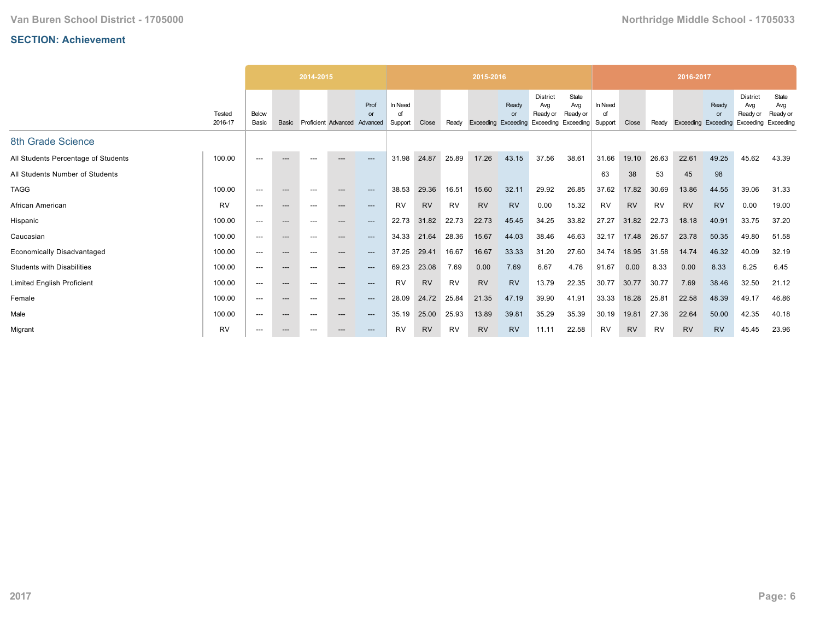|                                     |                   |                |                          | 2014-2015 |                          |                        |                          |           |           | 2015-2016           |                                |                                                           |                          |                          |           |           | 2016-2017           |             |                                                 |                                       |
|-------------------------------------|-------------------|----------------|--------------------------|-----------|--------------------------|------------------------|--------------------------|-----------|-----------|---------------------|--------------------------------|-----------------------------------------------------------|--------------------------|--------------------------|-----------|-----------|---------------------|-------------|-------------------------------------------------|---------------------------------------|
|                                     | Tested<br>2016-17 | Below<br>Basic | Basic                    |           | Proficient Advanced      | Prof<br>or<br>Advanced | In Need<br>∩f<br>Support | Close     | Ready     | Exceeding Exceeding | Ready<br>$\alpha$ <sup>r</sup> | <b>District</b><br>Avg<br>Ready or<br>Exceeding Exceeding | State<br>Avg<br>Ready or | In Need<br>of<br>Support | Close     | Ready     | Exceeding Exceeding | Ready<br>or | <b>District</b><br>Avg<br>Ready or<br>Exceeding | State<br>Avg<br>Ready or<br>Exceeding |
| 8th Grade Science                   |                   |                |                          |           |                          |                        |                          |           |           |                     |                                |                                                           |                          |                          |           |           |                     |             |                                                 |                                       |
| All Students Percentage of Students | 100.00            | $---$          | $---$                    | ---       | $---$                    | $---$                  | 31.98                    | 24.87     | 25.89     | 17.26               | 43.15                          | 37.56                                                     | 38.61                    | 31.66                    | 19.10     | 26.63     | 22.61               | 49.25       | 45.62                                           | 43.39                                 |
| All Students Number of Students     |                   |                |                          |           |                          |                        |                          |           |           |                     |                                |                                                           |                          | 63                       | 38        | 53        | 45                  | 98          |                                                 |                                       |
| <b>TAGG</b>                         | 100.00            | $---$          | $---$                    |           | $\hspace{0.05cm} \cdots$ | ---                    | 38.53                    | 29.36     | 16.51     | 15.60               | 32.11                          | 29.92                                                     | 26.85                    | 37.62                    | 17.82     | 30.69     | 13.86               | 44.55       | 39.06                                           | 31.33                                 |
| African American                    | <b>RV</b>         | $---$          | $---$                    | $---$     | $---$                    | $---$                  | RV                       | <b>RV</b> | <b>RV</b> | <b>RV</b>           | <b>RV</b>                      | 0.00                                                      | 15.32                    | <b>RV</b>                | <b>RV</b> | <b>RV</b> | <b>RV</b>           | <b>RV</b>   | 0.00                                            | 19.00                                 |
| Hispanic                            | 100.00            | $---$          | $---$                    | ---       | $---$                    | $---$                  | 22.73                    | 31.82     | 22.73     | 22.73               | 45.45                          | 34.25                                                     | 33.82                    | 27.27                    | 31.82     | 22.73     | 18.18               | 40.91       | 33.75                                           | 37.20                                 |
| Caucasian                           | 100.00            | $---$          | $---$                    | $---$     | $\hspace{0.05cm} \cdots$ | $---$                  | 34.33                    | 21.64     | 28.36     | 15.67               | 44.03                          | 38.46                                                     | 46.63                    | 32.17                    | 17.48     | 26.57     | 23.78               | 50.35       | 49.80                                           | 51.58                                 |
| <b>Economically Disadvantaged</b>   | 100.00            | $---$          | $---$                    | ---       | $---$                    | $---$                  | 37.25                    | 29.41     | 16.67     | 16.67               | 33.33                          | 31.20                                                     | 27.60                    | 34.74                    | 18.95     | 31.58     | 14.74               | 46.32       | 40.09                                           | 32.19                                 |
| <b>Students with Disabilities</b>   | 100.00            | $---$          | ---                      | ---       | $---$                    | $\qquad \qquad \cdots$ | 69.23                    | 23.08     | 7.69      | 0.00                | 7.69                           | 6.67                                                      | 4.76                     | 91.67                    | 0.00      | 8.33      | 0.00                | 8.33        | 6.25                                            | 6.45                                  |
| <b>Limited English Proficient</b>   | 100.00            | $---$          | $\hspace{0.05cm} \ldots$ | ---       | $---$                    | $---$                  | <b>RV</b>                | <b>RV</b> | <b>RV</b> | <b>RV</b>           | <b>RV</b>                      | 13.79                                                     | 22.35                    | 30.77                    | 30.77     | 30.77     | 7.69                | 38.46       | 32.50                                           | 21.12                                 |
| Female                              | 100.00            | $---$          | ---                      | ---       | $---$                    | $---$                  | 28.09                    | 24.72     | 25.84     | 21.35               | 47.19                          | 39.90                                                     | 41.91                    | 33.33                    | 18.28     | 25.81     | 22.58               | 48.39       | 49.17                                           | 46.86                                 |
| Male                                | 100.00            | ---            | ---                      | ---       | $---$                    | ---                    | 35.19                    | 25.00     | 25.93     | 13.89               | 39.81                          | 35.29                                                     | 35.39                    | 30.19                    | 19.81     | 27.36     | 22.64               | 50.00       | 42.35                                           | 40.18                                 |
| Migrant                             | <b>RV</b>         | $---$          | ---                      | ---       | $---$                    | $---$                  | RV                       | <b>RV</b> | <b>RV</b> | <b>RV</b>           | <b>RV</b>                      | 11.11                                                     | 22.58                    | RV                       | <b>RV</b> | RV        | <b>RV</b>           | <b>RV</b>   | 45.45                                           | 23.96                                 |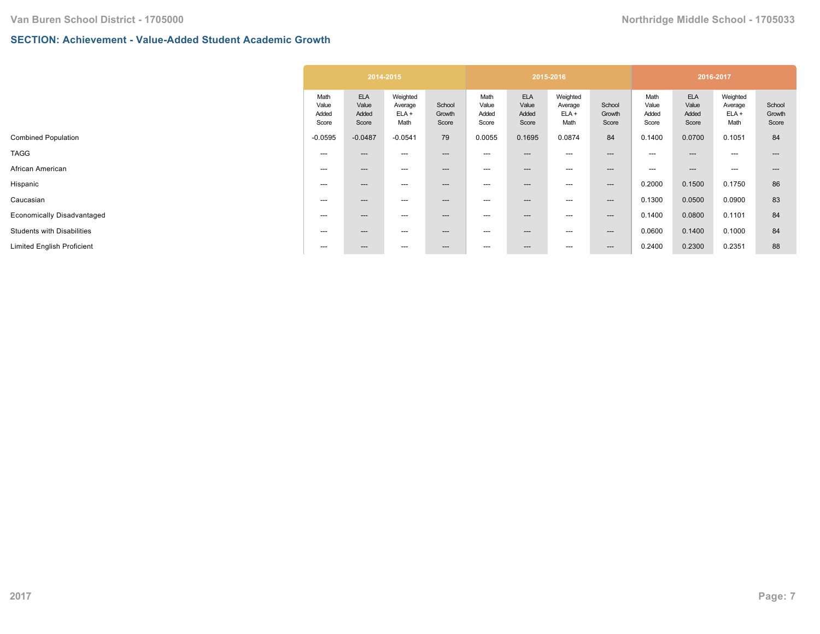## **SECTION: Achievement - Value-Added Student Academic Growth**

| <b>ELA</b><br><b>ELA</b><br><b>ELA</b><br>Weighted<br>Weighted<br>Math<br>Math<br>Math<br>School<br>Value<br>Value<br>Value<br>Value<br>School<br>Value<br>Value<br>Average<br>Average<br>$ELA +$<br>$ELA +$<br>Added<br>Added<br>Added<br>Added<br>Added<br>Growth<br>Added<br>Growth<br>Score<br>Math<br>Score<br>Math<br>Score<br>Score<br>Score<br>Score<br>Score<br>Score<br>$-0.0487$<br>79<br>0.1695<br>84<br>0.1400<br>0.0700<br>$-0.0595$<br>$-0.0541$<br>0.0055<br>0.0874<br>---<br>$---$<br>---<br>---<br>$---$<br>---<br>---<br>$---$<br>---<br>$- - -$<br>---<br>---<br>---<br>---<br>$---$<br>---<br>---<br>$\hspace{0.05cm} \cdots$<br>$\hspace{0.05cm} \ldots$<br>$---$<br>0.2000<br>0.1500<br>---<br>---<br>$---$<br>---<br>---<br>---<br>$--$<br>$---$<br>0.1300<br>0.0500<br>$---$<br>---<br>---<br>$---$<br>---<br>---<br>---<br>$---$<br>0.0800<br>0.1400<br>$---$<br>$---$<br>---<br>$---$<br>---<br>---<br>---<br>$--$ | Weighted<br>Average<br>$ELA +$<br>Math<br>0.1051 | School<br>Growth<br>Score<br>84 |
|-----------------------------------------------------------------------------------------------------------------------------------------------------------------------------------------------------------------------------------------------------------------------------------------------------------------------------------------------------------------------------------------------------------------------------------------------------------------------------------------------------------------------------------------------------------------------------------------------------------------------------------------------------------------------------------------------------------------------------------------------------------------------------------------------------------------------------------------------------------------------------------------------------------------------------------------------|--------------------------------------------------|---------------------------------|
|                                                                                                                                                                                                                                                                                                                                                                                                                                                                                                                                                                                                                                                                                                                                                                                                                                                                                                                                               |                                                  |                                 |
| Economically Disadvantaged                                                                                                                                                                                                                                                                                                                                                                                                                                                                                                                                                                                                                                                                                                                                                                                                                                                                                                                    |                                                  |                                 |
|                                                                                                                                                                                                                                                                                                                                                                                                                                                                                                                                                                                                                                                                                                                                                                                                                                                                                                                                               | $---$                                            |                                 |
|                                                                                                                                                                                                                                                                                                                                                                                                                                                                                                                                                                                                                                                                                                                                                                                                                                                                                                                                               | $---$                                            | ---                             |
|                                                                                                                                                                                                                                                                                                                                                                                                                                                                                                                                                                                                                                                                                                                                                                                                                                                                                                                                               | 0.1750                                           | 86                              |
|                                                                                                                                                                                                                                                                                                                                                                                                                                                                                                                                                                                                                                                                                                                                                                                                                                                                                                                                               | 0.0900                                           | 83                              |
|                                                                                                                                                                                                                                                                                                                                                                                                                                                                                                                                                                                                                                                                                                                                                                                                                                                                                                                                               | 0.1101                                           | 84                              |
| 0.0600<br>0.1400<br>$---$<br>$---$<br>---<br>$---$<br>---<br>---<br>---<br>$--$                                                                                                                                                                                                                                                                                                                                                                                                                                                                                                                                                                                                                                                                                                                                                                                                                                                               | 0.1000                                           | 84                              |
| 0.2300<br>0.2400<br>0.2351<br>$---$<br>---<br>---<br>$---$<br>$\hspace{0.05cm} \ldots$<br>---<br>$---$<br>---                                                                                                                                                                                                                                                                                                                                                                                                                                                                                                                                                                                                                                                                                                                                                                                                                                 |                                                  | 88                              |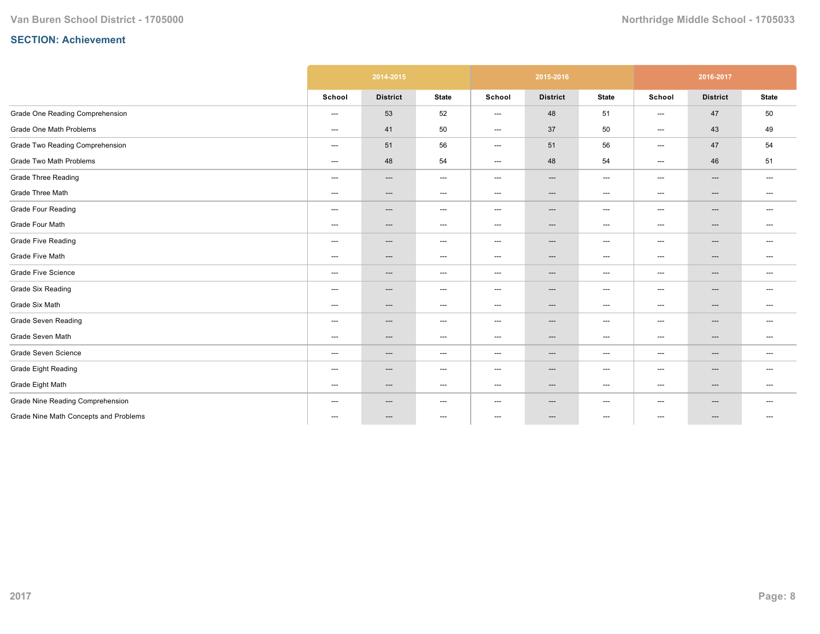|                                       |                                   | 2014-2015       |                                   |                          | 2015-2016                         |                                   |                                     | 2016-2017                |                                   |
|---------------------------------------|-----------------------------------|-----------------|-----------------------------------|--------------------------|-----------------------------------|-----------------------------------|-------------------------------------|--------------------------|-----------------------------------|
|                                       | School                            | <b>District</b> | <b>State</b>                      | School                   | <b>District</b>                   | <b>State</b>                      | School                              | <b>District</b>          | <b>State</b>                      |
| Grade One Reading Comprehension       | ---                               | 53              | 52                                | ---                      | 48                                | 51                                | ---                                 | 47                       | 50                                |
| Grade One Math Problems               | $\hspace{0.05cm} \dashrightarrow$ | 41              | 50                                | ---                      | 37                                | 50                                | ---                                 | 43                       | 49                                |
| Grade Two Reading Comprehension       | $---$                             | 51              | 56                                | ---                      | 51                                | 56                                | ---                                 | 47                       | 54                                |
| Grade Two Math Problems               | $\hspace{0.05cm} \ldots$          | 48              | 54                                | ---                      | 48                                | 54                                | $---$                               | 46                       | 51                                |
| <b>Grade Three Reading</b>            | $\hspace{0.05cm} \ldots$          | $---$           | $\hspace{0.05cm} \ldots$          | $\hspace{0.05cm} \ldots$ | $---$                             | $\hspace{0.05cm} \ldots$          | $\hspace{0.05cm}---\hspace{0.05cm}$ | $\qquad \qquad \cdots$   | $\hspace{0.05cm} \ldots$          |
| Grade Three Math                      | ---                               | ---             | $\hspace{0.05cm} \dashrightarrow$ | ---                      | $\hspace{0.05cm} \dashrightarrow$ | $\hspace{0.05cm} \dashrightarrow$ | ---                                 | $\qquad \qquad \cdots$   | $--$                              |
| <b>Grade Four Reading</b>             | ---                               | ---             | $\hspace{0.05cm} \dashrightarrow$ | $---$                    | ---                               | $\hspace{0.05cm} \ldots$          | ---                                 | ---                      | $---$                             |
| Grade Four Math                       | $\hspace{0.05cm} \dashrightarrow$ | ---             | $\hspace{0.05cm} \dashrightarrow$ | ---                      | ---                               | $\hspace{0.05cm} \dashrightarrow$ | ---                                 | ---                      | $---$                             |
| <b>Grade Five Reading</b>             | $---$                             | $---$           | $\hspace{0.05cm} \dashrightarrow$ | ---                      | $\hspace{0.05cm} \ldots$          | $---$                             | ---                                 | $\hspace{0.05cm} \ldots$ | $---$                             |
| Grade Five Math                       | $\hspace{0.05cm} \dashrightarrow$ | ---             | $\hspace{0.05cm} \ldots$          | ---                      | ---                               | $---$                             | $---$                               | ---                      | $---$                             |
| <b>Grade Five Science</b>             | $\qquad \qquad \cdots$            | ---             | $\hspace{0.05cm} \ldots$          | ---                      | ---                               | $---$                             | ---                                 | $\hspace{0.05cm} \ldots$ | $\hspace{0.05cm} \ldots$          |
| <b>Grade Six Reading</b>              | $\hspace{0.05cm} \ldots$          | ---             | $\hspace{0.05cm} \ldots$          | ---                      | $---$                             | $---$                             | ---                                 | $\qquad \qquad \cdots$   | $---$                             |
| Grade Six Math                        | $\hspace{0.05cm} \dashrightarrow$ | ---             | $\hspace{0.05cm} \dashrightarrow$ | ---                      | ---                               | $---$                             | ---                                 | ---                      | $\hspace{0.05cm} \dashrightarrow$ |
| <b>Grade Seven Reading</b>            | $\qquad \qquad \cdots$            | $---$           | $\hspace{0.05cm} \ldots$          | ---                      | ---                               | $---$                             | ---                                 | $\hspace{0.05cm} \ldots$ | $---$                             |
| Grade Seven Math                      | ---                               | $---$           | $\hspace{0.05cm} \dashrightarrow$ | ---                      | $---$                             | $\hspace{0.05cm} \dashrightarrow$ | ---                                 | $\qquad \qquad \cdots$   | $---$                             |
| Grade Seven Science                   | $\hspace{0.05cm} \ldots$          | ---             | $\hspace{0.05cm} \ldots$          | $---$                    | ---                               | $---$                             | ---                                 | $\hspace{0.05cm} \ldots$ | $\hspace{0.05cm} \ldots$          |
| Grade Eight Reading                   | $\hspace{0.05cm} \ldots$          | ---             | $\hspace{0.05cm} \ldots$          | $---$                    | ---                               | $---$                             | $---$                               | ---                      | $---$                             |
| Grade Eight Math                      | $---$                             | $---$           | $\hspace{0.05cm} \ldots$          | ---                      | $\hspace{0.05cm} \ldots$          | $---$                             | ---                                 | $---$                    | $---$                             |
| Grade Nine Reading Comprehension      | $\hspace{0.05cm} \ldots$          | ---             | $---$                             | $---$                    | $\hspace{0.05cm} \ldots$          | $---$                             | ---                                 | $\hspace{0.05cm} \ldots$ | $---$                             |
| Grade Nine Math Concepts and Problems | ---                               | ---             | $\hspace{0.05cm} \ldots$          | $\hspace{0.05cm} \ldots$ | ---                               | $\hspace{0.05cm} \ldots$          | ---                                 | ---                      | $---$                             |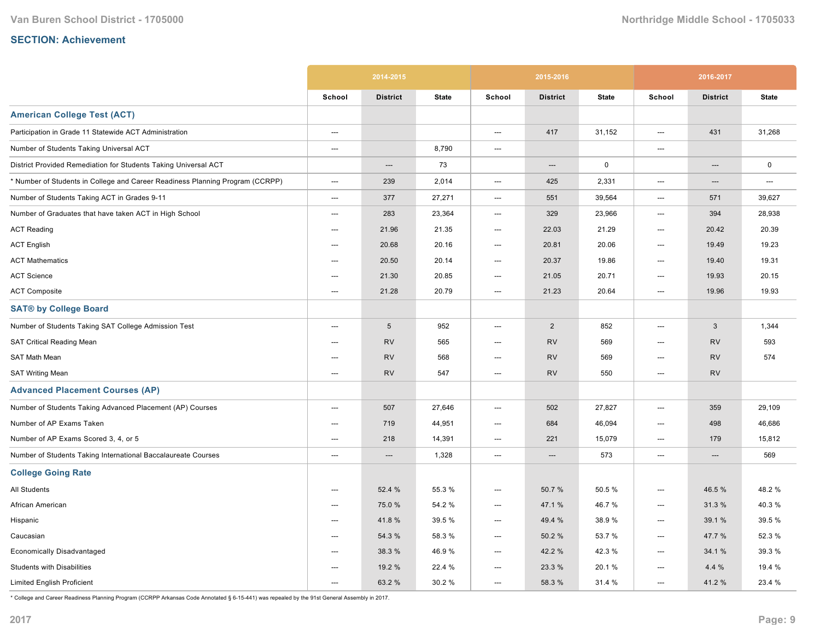|                                                                               |                          | 2014-2015       |              |                          | 2015-2016       |              |        | 2016-2017       |              |
|-------------------------------------------------------------------------------|--------------------------|-----------------|--------------|--------------------------|-----------------|--------------|--------|-----------------|--------------|
|                                                                               | School                   | <b>District</b> | <b>State</b> | School                   | <b>District</b> | <b>State</b> | School | <b>District</b> | <b>State</b> |
| <b>American College Test (ACT)</b>                                            |                          |                 |              |                          |                 |              |        |                 |              |
| Participation in Grade 11 Statewide ACT Administration                        | $\hspace{0.05cm} \cdots$ |                 |              | ---                      | 417             | 31,152       | ---    | 431             | 31,268       |
| Number of Students Taking Universal ACT                                       | $---$                    |                 | 8,790        | $\overline{\phantom{a}}$ |                 |              | ---    |                 |              |
| District Provided Remediation for Students Taking Universal ACT               |                          | ---             | 73           |                          | ---             | $\mathbf 0$  |        | ---             | $\mathsf 0$  |
| * Number of Students in College and Career Readiness Planning Program (CCRPP) | ---                      | 239             | 2,014        | ---                      | 425             | 2,331        | ---    | ---             | ---          |
| Number of Students Taking ACT in Grades 9-11                                  | ---                      | 377             | 27,271       | $\hspace{0.05cm} \ldots$ | 551             | 39,564       | ---    | 571             | 39,627       |
| Number of Graduates that have taken ACT in High School                        | ---                      | 283             | 23,364       | $---$                    | 329             | 23,966       | ---    | 394             | 28,938       |
| <b>ACT Reading</b>                                                            | $---$                    | 21.96           | 21.35        | ---                      | 22.03           | 21.29        | ---    | 20.42           | 20.39        |
| <b>ACT English</b>                                                            | $\hspace{0.05cm} \ldots$ | 20.68           | 20.16        | ---                      | 20.81           | 20.06        | ---    | 19.49           | 19.23        |
| <b>ACT Mathematics</b>                                                        | ---                      | 20.50           | 20.14        | ---                      | 20.37           | 19.86        | ---    | 19.40           | 19.31        |
| <b>ACT Science</b>                                                            | ---                      | 21.30           | 20.85        | $\hspace{0.05cm} \ldots$ | 21.05           | 20.71        | ---    | 19.93           | 20.15        |
| <b>ACT Composite</b>                                                          | ---                      | 21.28           | 20.79        | ---                      | 21.23           | 20.64        | ---    | 19.96           | 19.93        |
| <b>SAT® by College Board</b>                                                  |                          |                 |              |                          |                 |              |        |                 |              |
| Number of Students Taking SAT College Admission Test                          | $---$                    | $\sqrt{5}$      | 952          | ---                      | $\overline{2}$  | 852          | $---$  | 3               | 1,344        |
| SAT Critical Reading Mean                                                     | ---                      | <b>RV</b>       | 565          | ---                      | <b>RV</b>       | 569          | ---    | <b>RV</b>       | 593          |
| SAT Math Mean                                                                 | ---                      | <b>RV</b>       | 568          | ---                      | <b>RV</b>       | 569          | ---    | <b>RV</b>       | 574          |
| <b>SAT Writing Mean</b>                                                       | $\overline{\phantom{a}}$ | <b>RV</b>       | 547          | $---$                    | <b>RV</b>       | 550          | ---    | <b>RV</b>       |              |
| <b>Advanced Placement Courses (AP)</b>                                        |                          |                 |              |                          |                 |              |        |                 |              |
| Number of Students Taking Advanced Placement (AP) Courses                     | $---$                    | 507             | 27,646       | $\overline{\phantom{a}}$ | 502             | 27,827       | $---$  | 359             | 29,109       |
| Number of AP Exams Taken                                                      | ---                      | 719             | 44,951       | ---                      | 684             | 46,094       | ---    | 498             | 46,686       |
| Number of AP Exams Scored 3, 4, or 5                                          | $---$                    | 218             | 14,391       | ---                      | 221             | 15,079       | $---$  | 179             | 15,812       |
| Number of Students Taking International Baccalaureate Courses                 | ---                      | $---$           | 1,328        | $\hspace{0.05cm} \ldots$ | $---$           | 573          | ---    | $---$           | 569          |
| <b>College Going Rate</b>                                                     |                          |                 |              |                          |                 |              |        |                 |              |
| <b>All Students</b>                                                           | ---                      | 52.4 %          | 55.3 %       | ---                      | 50.7%           | 50.5%        | ---    | 46.5 %          | 48.2%        |
| African American                                                              | ---                      | 75.0%           | 54.2 %       | ---                      | 47.1 %          | 46.7%        | ---    | 31.3%           | 40.3%        |
| Hispanic                                                                      | ---                      | 41.8%           | 39.5 %       | ---                      | 49.4 %          | 38.9%        | ---    | 39.1 %          | 39.5 %       |
| Caucasian                                                                     | $---$                    | 54.3 %          | 58.3 %       | ---                      | 50.2%           | 53.7 %       | ---    | 47.7 %          | 52.3 %       |
| <b>Economically Disadvantaged</b>                                             | $---$                    | 38.3 %          | 46.9%        | ---                      | 42.2 %          | 42.3%        | ---    | 34.1 %          | 39.3 %       |
| <b>Students with Disabilities</b>                                             | $---$                    | 19.2 %          | 22.4 %       | ---                      | 23.3 %          | 20.1%        | ---    | 4.4 %           | 19.4 %       |
| <b>Limited English Proficient</b>                                             | $---$                    | 63.2 %          | 30.2%        | $---$                    | 58.3 %          | 31.4 %       | $---$  | 41.2%           | 23.4 %       |

\* College and Career Readiness Planning Program (CCRPP Arkansas Code Annotated § 615441) was repealed by the 91st General Assembly in 2017.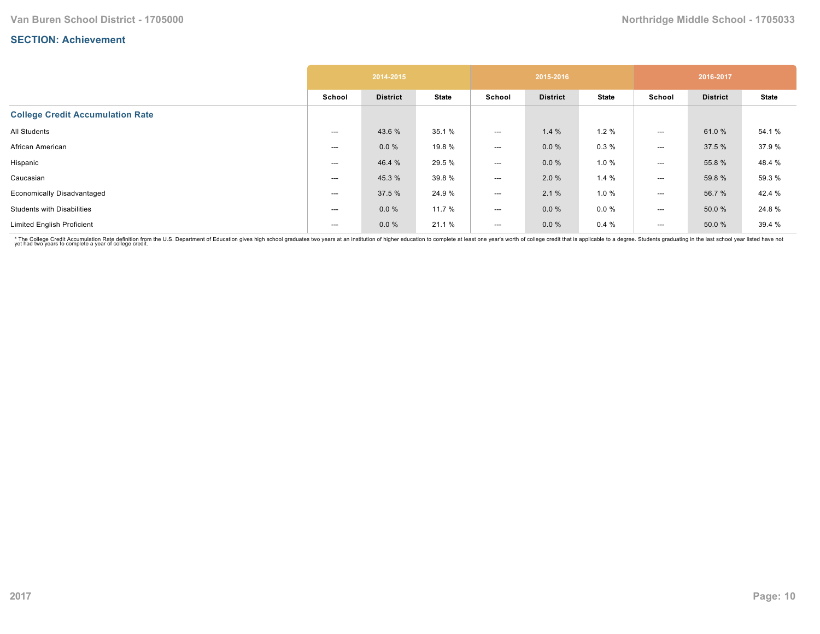|                                         |        | 2014-2015       |              |        | 2015-2016       |              |        | 2016-2017       |              |
|-----------------------------------------|--------|-----------------|--------------|--------|-----------------|--------------|--------|-----------------|--------------|
|                                         | School | <b>District</b> | <b>State</b> | School | <b>District</b> | <b>State</b> | School | <b>District</b> | <b>State</b> |
| <b>College Credit Accumulation Rate</b> |        |                 |              |        |                 |              |        |                 |              |
| All Students                            | ---    | 43.6 %          | 35.1 %       | ---    | 1.4%            | 1.2%         | ---    | 61.0%           | 54.1 %       |
| African American                        | ---    | $0.0 \%$        | 19.8 %       | ---    | 0.0%            | 0.3%         | ---    | 37.5 %          | 37.9%        |
| Hispanic                                | ---    | 46.4 %          | 29.5 %       | ---    | 0.0%            | 1.0%         | ---    | 55.8 %          | 48.4 %       |
| Caucasian                               | ---    | 45.3 %          | 39.8%        | ---    | 2.0%            | 1.4%         | ---    | 59.8 %          | 59.3 %       |
| <b>Economically Disadvantaged</b>       | ---    | 37.5 %          | 24.9%        | ---    | 2.1%            | 1.0%         | ---    | 56.7 %          | 42.4 %       |
| <b>Students with Disabilities</b>       | ---    | 0.0%            | 11.7 %       | ---    | $0.0 \%$        | $0.0 \%$     | ---    | 50.0 %          | 24.8%        |
| <b>Limited English Proficient</b>       | $---$  | $0.0 \%$        | 21.1 %       | ---    | $0.0 \%$        | 0.4%         | ---    | 50.0%           | 39.4 %       |

\* The College Credit Accumulation Rate definition from the U.S. Department of Education gives high school graduates two years at an institution of higher education to complete at least one year's worth of college credit th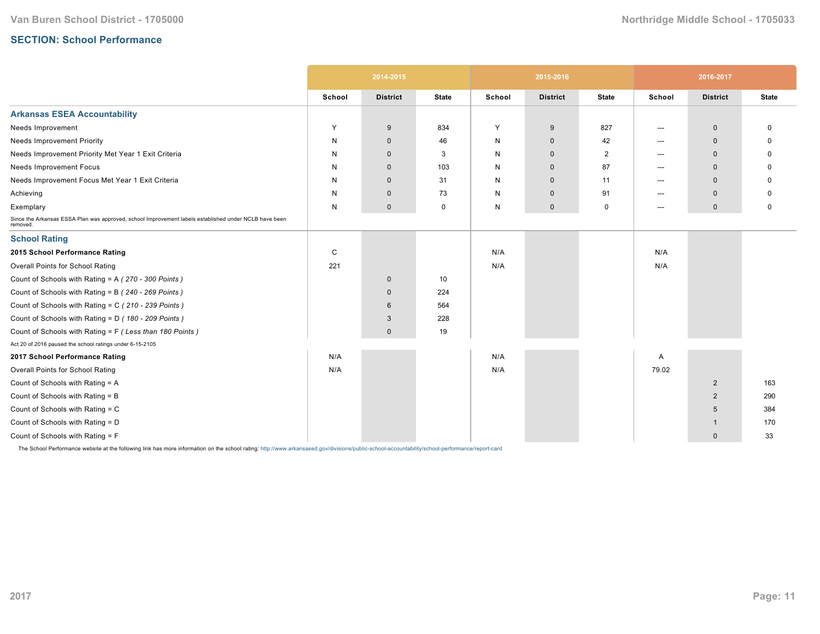## **SECTION: School Performance**

|                                                                                                                   |        | 2014-2015       |              |        | 2015-2016           |                |        | 2016-2017       |              |
|-------------------------------------------------------------------------------------------------------------------|--------|-----------------|--------------|--------|---------------------|----------------|--------|-----------------|--------------|
|                                                                                                                   | School | <b>District</b> | <b>State</b> | School | <b>District</b>     | <b>State</b>   | School | <b>District</b> | <b>State</b> |
| <b>Arkansas ESEA Accountability</b>                                                                               |        |                 |              |        |                     |                |        |                 |              |
| Needs Improvement                                                                                                 | Y      | 9               | 834          | Y      | 9                   | 827            | ---    | $\mathbf 0$     |              |
| <b>Needs Improvement Priority</b>                                                                                 | N      | $\mathbf 0$     | 46           | N      | $\mathbf 0$         | 42             | $---$  | $\mathbf 0$     |              |
| Needs Improvement Priority Met Year 1 Exit Criteria                                                               | N      | $\mathbf 0$     | 3            | N      | $\mathbf 0$         | $\overline{2}$ | ---    | $\mathbf 0$     |              |
| Needs Improvement Focus                                                                                           | N      | $\mathbf 0$     | 103          | N      | $\mathbf 0$         | 87             | ---    | $\mathbf 0$     |              |
| Needs Improvement Focus Met Year 1 Exit Criteria                                                                  | N      | $\mathbf 0$     | 31           | N      | $\mathbf 0$         | 11             | ---    | $\mathbf 0$     |              |
| Achieving                                                                                                         | N      | $\mathbf 0$     | 73           | N      | $\mathbf 0$         | 91             | ---    | $\mathbf 0$     |              |
| Exemplary                                                                                                         | N      | $\mathbf 0$     | $\mathbf 0$  | N      | $\mathsf{O}\xspace$ | $\mathbf 0$    | ---    | $\mathbf 0$     | $\mathbf 0$  |
| Since the Arkansas ESSA Plan was approved, school Improvement labels established under NCLB have been<br>removed. |        |                 |              |        |                     |                |        |                 |              |
| <b>School Rating</b>                                                                                              |        |                 |              |        |                     |                |        |                 |              |
| 2015 School Performance Rating                                                                                    | C      |                 |              | N/A    |                     |                | N/A    |                 |              |
| Overall Points for School Rating                                                                                  | 221    |                 |              | N/A    |                     |                | N/A    |                 |              |
| Count of Schools with Rating = A (270 - 300 Points)                                                               |        | $\mathbf 0$     | 10           |        |                     |                |        |                 |              |
| Count of Schools with Rating = B (240 - 269 Points)                                                               |        | $\mathbf 0$     | 224          |        |                     |                |        |                 |              |
| Count of Schools with Rating = C (210 - 239 Points)                                                               |        | 6               | 564          |        |                     |                |        |                 |              |
| Count of Schools with Rating = D (180 - 209 Points)                                                               |        | 3               | 228          |        |                     |                |        |                 |              |
| Count of Schools with Rating = F (Less than 180 Points)                                                           |        | $\mathbf 0$     | 19           |        |                     |                |        |                 |              |
| Act 20 of 2016 paused the school ratings under 6-15-2105                                                          |        |                 |              |        |                     |                |        |                 |              |
| 2017 School Performance Rating                                                                                    | N/A    |                 |              | N/A    |                     |                | Α      |                 |              |
| Overall Points for School Rating                                                                                  | N/A    |                 |              | N/A    |                     |                | 79.02  |                 |              |
| Count of Schools with Rating = A                                                                                  |        |                 |              |        |                     |                |        | $\overline{2}$  | 163          |
| Count of Schools with Rating = B                                                                                  |        |                 |              |        |                     |                |        | $\overline{2}$  | 290          |
| Count of Schools with Rating = C                                                                                  |        |                 |              |        |                     |                |        | 5               | 384          |
| Count of Schools with Rating = D                                                                                  |        |                 |              |        |                     |                |        | -1              | 170          |
| Count of Schools with Rating = F                                                                                  |        |                 |              |        |                     |                |        | $\mathbf 0$     | 33           |

The School Performance website at the following link has more information on the school rating: http://www.arkansased.gov/divisions/public-school-accountability/school-performance/report-card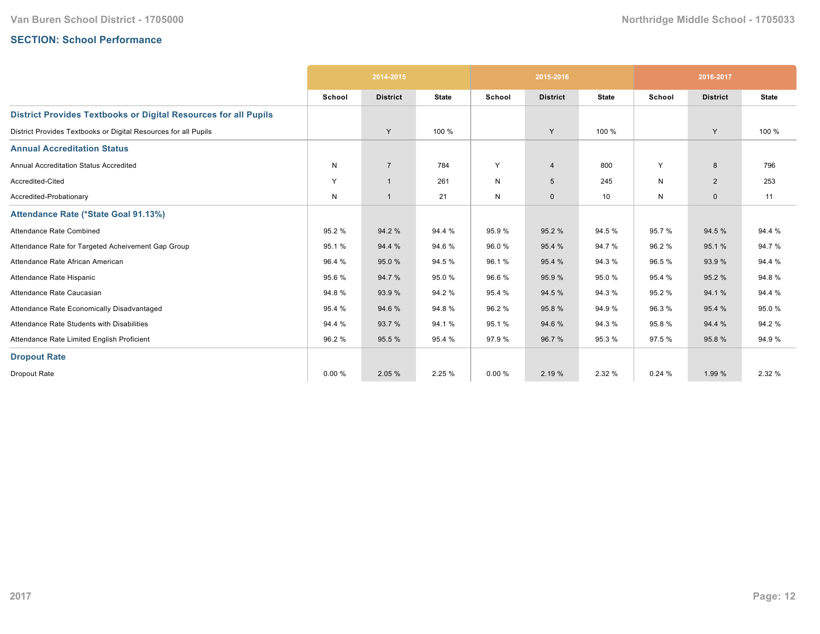## **SECTION: School Performance**

|                                                                        | 2014-2015 |                 |              |        | 2015-2016       |              | 2016-2017 |                 |              |
|------------------------------------------------------------------------|-----------|-----------------|--------------|--------|-----------------|--------------|-----------|-----------------|--------------|
|                                                                        | School    | <b>District</b> | <b>State</b> | School | <b>District</b> | <b>State</b> | School    | <b>District</b> | <b>State</b> |
| <b>District Provides Textbooks or Digital Resources for all Pupils</b> |           |                 |              |        |                 |              |           |                 |              |
| District Provides Textbooks or Digital Resources for all Pupils        |           | Y               | 100 %        |        | Y               | 100 %        |           | Y               | 100 %        |
| <b>Annual Accreditation Status</b>                                     |           |                 |              |        |                 |              |           |                 |              |
| <b>Annual Accreditation Status Accredited</b>                          | N         | $\overline{7}$  | 784          | Y      | $\overline{4}$  | 800          | Y         | 8               | 796          |
| Accredited-Cited                                                       | Y         | $\overline{1}$  | 261          | N      | 5               | 245          | N         | $\overline{2}$  | 253          |
| Accredited-Probationary                                                | N         | $\mathbf{1}$    | 21           | N      | $\mathbf 0$     | 10           | N         | $\mathbf 0$     | 11           |
| Attendance Rate (*State Goal 91.13%)                                   |           |                 |              |        |                 |              |           |                 |              |
| Attendance Rate Combined                                               | 95.2%     | 94.2%           | 94.4 %       | 95.9%  | 95.2%           | 94.5 %       | 95.7%     | 94.5 %          | 94.4 %       |
| Attendance Rate for Targeted Acheivement Gap Group                     | 95.1%     | 94.4 %          | 94.6%        | 96.0%  | 95.4 %          | 94.7%        | 96.2%     | 95.1%           | 94.7%        |
| Attendance Rate African American                                       | 96.4 %    | 95.0%           | 94.5 %       | 96.1%  | 95.4 %          | 94.3%        | 96.5%     | 93.9%           | 94.4 %       |
| Attendance Rate Hispanic                                               | 95.6%     | 94.7%           | 95.0%        | 96.6%  | 95.9 %          | 95.0%        | 95.4 %    | 95.2%           | 94.8%        |
| Attendance Rate Caucasian                                              | 94.8%     | 93.9%           | 94.2 %       | 95.4 % | 94.5 %          | 94.3%        | 95.2%     | 94.1 %          | 94.4 %       |
| Attendance Rate Economically Disadvantaged                             | 95.4 %    | 94.6%           | 94.8%        | 96.2%  | 95.8%           | 94.9%        | 96.3%     | 95.4 %          | 95.0%        |
| Attendance Rate Students with Disabilities                             | 94.4 %    | 93.7%           | 94.1%        | 95.1%  | 94.6%           | 94.3%        | 95.8%     | 94.4 %          | 94.2 %       |
| Attendance Rate Limited English Proficient                             | 96.2%     | 95.5 %          | 95.4 %       | 97.9 % | 96.7 %          | 95.3%        | 97.5 %    | 95.8%           | 94.9%        |
| <b>Dropout Rate</b>                                                    |           |                 |              |        |                 |              |           |                 |              |
| Dropout Rate                                                           | 0.00%     | 2.05 %          | 2.25 %       | 0.00%  | 2.19 %          | 2.32 %       | 0.24%     | 1.99 %          | 2.32 %       |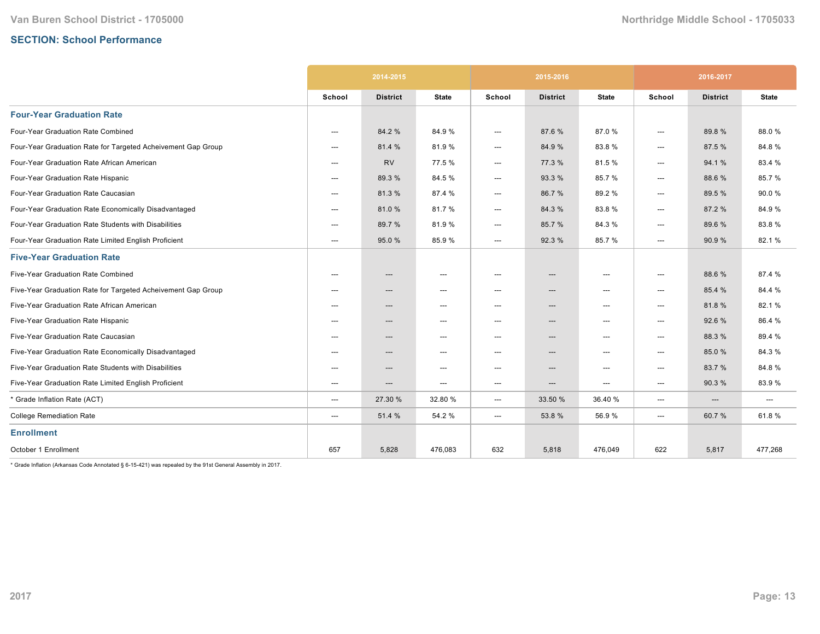# **SECTION: School Performance**

|                                                              | 2014-2015                |                 |                                   |                                     | 2015-2016                |              | 2016-2017                           |                          |              |
|--------------------------------------------------------------|--------------------------|-----------------|-----------------------------------|-------------------------------------|--------------------------|--------------|-------------------------------------|--------------------------|--------------|
|                                                              | School                   | <b>District</b> | <b>State</b>                      | School                              | <b>District</b>          | <b>State</b> | School                              | <b>District</b>          | <b>State</b> |
| <b>Four-Year Graduation Rate</b>                             |                          |                 |                                   |                                     |                          |              |                                     |                          |              |
| Four-Year Graduation Rate Combined                           | $---$                    | 84.2 %          | 84.9%                             | ---                                 | 87.6%                    | 87.0%        | $---$                               | 89.8%                    | 88.0%        |
| Four-Year Graduation Rate for Targeted Acheivement Gap Group | $---$                    | 81.4 %          | 81.9%                             | ---                                 | 84.9%                    | 83.8%        | ---                                 | 87.5 %                   | 84.8%        |
| Four-Year Graduation Rate African American                   | ---                      | <b>RV</b>       | 77.5 %                            | ---                                 | 77.3 %                   | 81.5%        | ---                                 | 94.1%                    | 83.4 %       |
| Four-Year Graduation Rate Hispanic                           | $---$                    | 89.3%           | 84.5%                             | $\qquad \qquad \cdots$              | 93.3 %                   | 85.7%        | $\qquad \qquad \cdots$              | 88.6%                    | 85.7%        |
| Four-Year Graduation Rate Caucasian                          | $---$                    | 81.3%           | 87.4 %                            | ---                                 | 86.7%                    | 89.2%        | ---                                 | 89.5 %                   | 90.0%        |
| Four-Year Graduation Rate Economically Disadvantaged         | ---                      | 81.0%           | 81.7%                             | ---                                 | 84.3 %                   | 83.8%        | ---                                 | 87.2 %                   | 84.9%        |
| Four-Year Graduation Rate Students with Disabilities         | ---                      | 89.7 %          | 81.9%                             | ---                                 | 85.7%                    | 84.3%        | ---                                 | 89.6%                    | 83.8%        |
| Four-Year Graduation Rate Limited English Proficient         | ---                      | 95.0 %          | 85.9%                             | $\qquad \qquad \cdots$              | 92.3 %                   | 85.7%        | $\qquad \qquad \cdots$              | 90.9%                    | 82.1 %       |
| <b>Five-Year Graduation Rate</b>                             |                          |                 |                                   |                                     |                          |              |                                     |                          |              |
| Five-Year Graduation Rate Combined                           | ---                      | ---             | $---$                             | ---                                 | $---$                    | ---          | $---$                               | 88.6%                    | 87.4 %       |
| Five-Year Graduation Rate for Targeted Acheivement Gap Group | ---                      | ---             | $\hspace{0.05cm} \dashrightarrow$ | ---                                 | $\hspace{0.05cm} \ldots$ | ---          | ---                                 | 85.4 %                   | 84.4 %       |
| Five-Year Graduation Rate African American                   | ---                      | ---             | $\hspace{0.05cm} \ldots$          | ---                                 | $---$                    | ---          | $\hspace{0.05cm} \ldots$            | 81.8%                    | 82.1%        |
| Five-Year Graduation Rate Hispanic                           | ---                      | ---             | $\hspace{0.05cm} \ldots$          | ---                                 | $\hspace{0.05cm} \ldots$ | ---          | $---$                               | 92.6%                    | 86.4 %       |
| Five-Year Graduation Rate Caucasian                          | $---$                    | ---             | $\hspace{0.05cm} \ldots$          | $\hspace{0.05cm}---\hspace{0.05cm}$ | $\hspace{0.05cm} \ldots$ | ---          | $\hspace{0.05cm} \ldots$            | 88.3 %                   | 89.4 %       |
| Five-Year Graduation Rate Economically Disadvantaged         | $\hspace{0.05cm} \ldots$ | ---             | $\hspace{0.05cm} \dashrightarrow$ | ---                                 | ---                      | ---          | $\hspace{0.05cm} \dashrightarrow$   | 85.0%                    | 84.3%        |
| Five-Year Graduation Rate Students with Disabilities         | $---$                    | ---             | $\hspace{0.05cm} \ldots$          | $\hspace{0.05cm} \ldots$            | $\hspace{0.05cm} \ldots$ | ---          | $\overline{\phantom{a}}$            | 83.7 %                   | 84.8%        |
| Five-Year Graduation Rate Limited English Proficient         | ---                      | ---             | $\hspace{0.05cm} \cdots$          | ---                                 | ---                      | ---          | $\hspace{0.05cm}---\hspace{0.05cm}$ | 90.3%                    | 83.9%        |
| * Grade Inflation Rate (ACT)                                 | ---                      | 27.30 %         | 32.80 %                           | ---                                 | 33.50 %                  | 36.40 %      | $---$                               | $\hspace{0.05cm} \ldots$ | ---          |
| <b>College Remediation Rate</b>                              | ---                      | 51.4 %          | 54.2 %                            | ---                                 | 53.8%                    | 56.9%        | ---                                 | 60.7%                    | 61.8%        |
| <b>Enrollment</b>                                            |                          |                 |                                   |                                     |                          |              |                                     |                          |              |
| October 1 Enrollment                                         | 657                      | 5,828           | 476,083                           | 632                                 | 5,818                    | 476,049      | 622                                 | 5,817                    | 477,268      |

 $*$  Grade Inflation (Arkansas Code Annotated § 6-15-421) was repealed by the 91st General Assembly in 2017.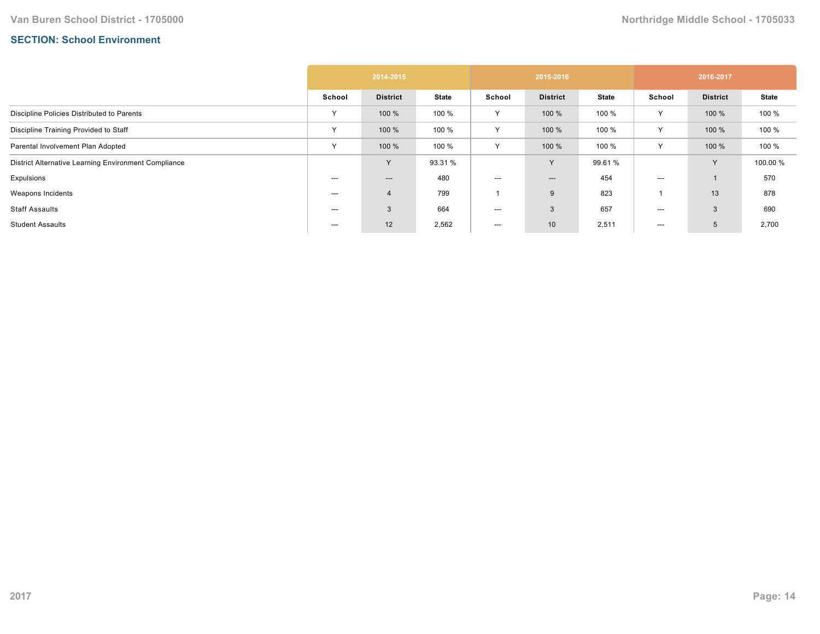## **SECTION: School Environment**

|                                                      | 2014-2015    |                 |              | 2015-2016 |                          |              | 2016-2017    |                 |              |
|------------------------------------------------------|--------------|-----------------|--------------|-----------|--------------------------|--------------|--------------|-----------------|--------------|
|                                                      | School       | <b>District</b> | <b>State</b> | School    | <b>District</b>          | <b>State</b> | School       | <b>District</b> | <b>State</b> |
| Discipline Policies Distributed to Parents           | $\checkmark$ | 100 %           | 100 %        | Y         | 100 %                    | 100 %        | Y            | 100 %           | 100 %        |
| Discipline Training Provided to Staff                | v            | 100 %           | 100 %        | Υ         | 100 %                    | 100 %        | ٧            | 100 %           | 100 %        |
| Parental Involvement Plan Adopted                    | $\checkmark$ | 100 %           | 100 %        | Y         | 100 %                    | 100 %        | $\checkmark$ | 100 %           | 100 %        |
| District Alternative Learning Environment Compliance |              | $\checkmark$    | 93.31 %      |           | Y                        | 99.61 %      |              | <b>V</b>        | 100.00 %     |
| Expulsions                                           | ---          | ---             | 480          | ---       | $\hspace{0.05cm} \ldots$ | 454          | ---          |                 | 570          |
| Weapons Incidents                                    | $--$         | $\overline{4}$  | 799          |           | 9                        | 823          |              | 13              | 878          |
| <b>Staff Assaults</b>                                | $--$         | 3               | 664          | $--$      | 3                        | 657          | ---          | 3               | 690          |
| <b>Student Assaults</b>                              | ---          | 12              | 2,562        | ---       | 10 <sup>°</sup>          | 2,511        | ---          | 5               | 2,700        |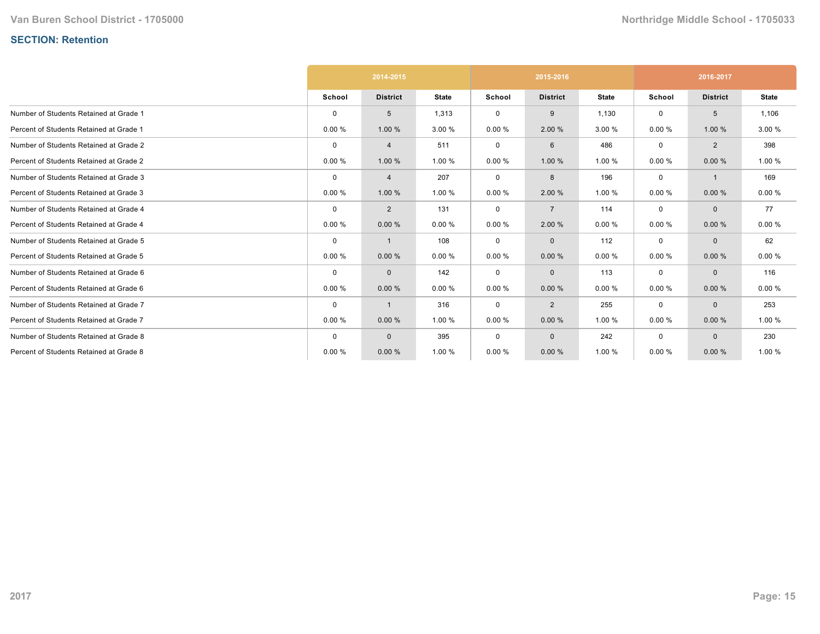# **SECTION: Retention**

|                                         | 2014-2015   |                 |              |             | 2015-2016       |              | 2016-2017   |                 |              |
|-----------------------------------------|-------------|-----------------|--------------|-------------|-----------------|--------------|-------------|-----------------|--------------|
|                                         | School      | <b>District</b> | <b>State</b> | School      | <b>District</b> | <b>State</b> | School      | <b>District</b> | <b>State</b> |
| Number of Students Retained at Grade 1  | $\mathbf 0$ | 5               | 1,313        | $\mathbf 0$ | 9               | 1,130        | $\mathbf 0$ | 5               | 1,106        |
| Percent of Students Retained at Grade 1 | 0.00%       | 1.00 %          | 3.00 %       | 0.00%       | 2.00 %          | 3.00 %       | 0.00%       | 1.00 %          | 3.00 %       |
| Number of Students Retained at Grade 2  | $\Omega$    | 4               | 511          | 0           | 6               | 486          | $\mathbf 0$ | $\overline{2}$  | 398          |
| Percent of Students Retained at Grade 2 | 0.00%       | 1.00%           | 1.00%        | 0.00%       | 1.00 %          | 1.00 %       | 0.00%       | 0.00%           | 1.00 %       |
| Number of Students Retained at Grade 3  | $\mathbf 0$ | 4               | 207          | $\mathbf 0$ | 8               | 196          | $\mathbf 0$ | $\mathbf{1}$    | 169          |
| Percent of Students Retained at Grade 3 | 0.00%       | 1.00 %          | 1.00 %       | 0.00%       | 2.00 %          | 1.00 %       | 0.00%       | 0.00%           | 0.00%        |
| Number of Students Retained at Grade 4  | $\mathbf 0$ | $\overline{2}$  | 131          | 0           | $\overline{7}$  | 114          | $\mathbf 0$ | $\mathbf{0}$    | 77           |
| Percent of Students Retained at Grade 4 | 0.00%       | 0.00%           | 0.00%        | 0.00%       | 2.00 %          | 0.00%        | 0.00%       | 0.00%           | 0.00%        |
| Number of Students Retained at Grade 5  | $\mathbf 0$ |                 | 108          | 0           | $\mathbf{0}$    | 112          | $\mathbf 0$ | $\mathbf{0}$    | 62           |
| Percent of Students Retained at Grade 5 | 0.00%       | 0.00%           | 0.00%        | 0.00%       | 0.00%           | 0.00%        | 0.00%       | 0.00%           | 0.00%        |
| Number of Students Retained at Grade 6  | $\mathbf 0$ | $\mathbf 0$     | 142          | 0           | $\mathbf{0}$    | 113          | $\mathbf 0$ | $\mathbf{0}$    | 116          |
| Percent of Students Retained at Grade 6 | 0.00%       | 0.00%           | 0.00%        | 0.00%       | 0.00%           | 0.00%        | 0.00%       | 0.00%           | 0.00%        |
| Number of Students Retained at Grade 7  | $\mathbf 0$ | -1              | 316          | 0           | $\overline{2}$  | 255          | 0           | $\mathbf{0}$    | 253          |
| Percent of Students Retained at Grade 7 | 0.00%       | 0.00%           | 1.00 %       | 0.00%       | 0.00%           | 1.00 %       | 0.00%       | 0.00%           | 1.00 %       |
| Number of Students Retained at Grade 8  | $\mathbf 0$ | $\mathbf{0}$    | 395          | 0           | $\mathbf{0}$    | 242          | $\mathbf 0$ | $\mathbf{0}$    | 230          |
| Percent of Students Retained at Grade 8 | 0.00%       | 0.00%           | 1.00 %       | 0.00%       | 0.00%           | 1.00 %       | 0.00%       | 0.00%           | 1.00 %       |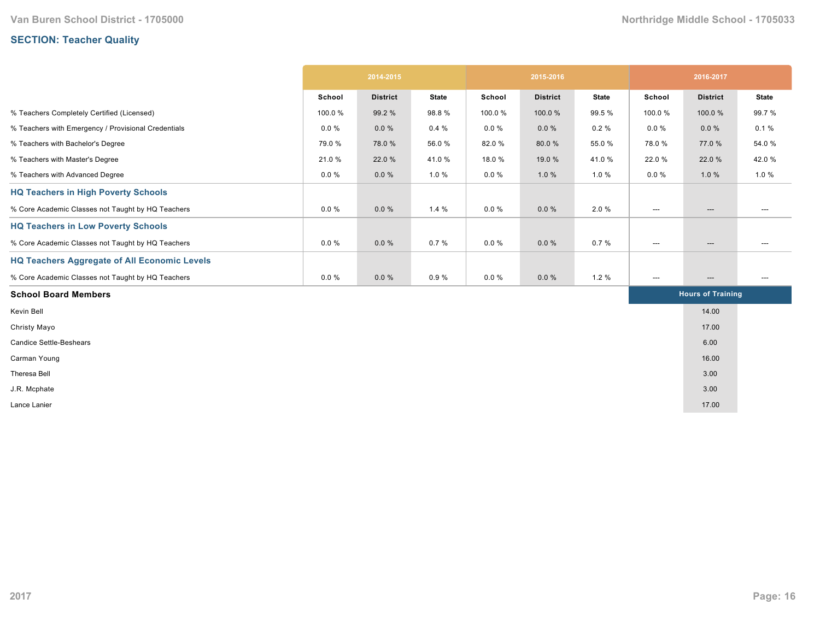# **SECTION: Teacher Quality**

|                                                     | 2014-2015 |                 |              | 2015-2016 |                 |              | 2016-2017                         |                          |                                   |
|-----------------------------------------------------|-----------|-----------------|--------------|-----------|-----------------|--------------|-----------------------------------|--------------------------|-----------------------------------|
|                                                     | School    | <b>District</b> | <b>State</b> | School    | <b>District</b> | <b>State</b> | School                            | <b>District</b>          | <b>State</b>                      |
| % Teachers Completely Certified (Licensed)          | 100.0%    | 99.2 %          | 98.8%        | 100.0%    | 100.0%          | 99.5 %       | 100.0%                            | 100.0%                   | 99.7%                             |
| % Teachers with Emergency / Provisional Credentials | $0.0 \%$  | $0.0 \%$        | 0.4%         | $0.0 \%$  | $0.0 \%$        | 0.2%         | $0.0 \%$                          | $0.0 \%$                 | 0.1%                              |
| % Teachers with Bachelor's Degree                   | 79.0 %    | 78.0%           | 56.0%        | 82.0%     | 80.0%           | 55.0 %       | 78.0%                             | 77.0 %                   | 54.0%                             |
| % Teachers with Master's Degree                     | 21.0%     | 22.0 %          | 41.0%        | 18.0%     | 19.0 %          | 41.0%        | 22.0 %                            | 22.0 %                   | 42.0%                             |
| % Teachers with Advanced Degree                     | $0.0 \%$  | $0.0 \%$        | 1.0%         | $0.0 \%$  | 1.0%            | 1.0%         | $0.0 \%$                          | 1.0%                     | 1.0%                              |
| <b>HQ Teachers in High Poverty Schools</b>          |           |                 |              |           |                 |              |                                   |                          |                                   |
| % Core Academic Classes not Taught by HQ Teachers   | $0.0 \%$  | $0.0 \%$        | 1.4%         | $0.0 \%$  | $0.0 \%$        | 2.0%         | $\hspace{0.05cm} \dashrightarrow$ | $\hspace{0.05cm} \ldots$ | ---                               |
| <b>HQ Teachers in Low Poverty Schools</b>           |           |                 |              |           |                 |              |                                   |                          |                                   |
| % Core Academic Classes not Taught by HQ Teachers   | $0.0 \%$  | $0.0 \%$        | 0.7%         | $0.0 \%$  | $0.0 \%$        | 0.7%         | $\hspace{0.05cm} \ldots$          | ---                      | ---                               |
| <b>HQ Teachers Aggregate of All Economic Levels</b> |           |                 |              |           |                 |              |                                   |                          |                                   |
| % Core Academic Classes not Taught by HQ Teachers   | $0.0 \%$  | 0.0%            | 0.9%         | $0.0 \%$  | $0.0 \%$        | 1.2%         | $\hspace{0.05cm} \cdots$          | ---                      | $\hspace{0.05cm} \dashrightarrow$ |
| <b>School Board Members</b>                         |           |                 |              |           |                 |              | <b>Hours of Training</b>          |                          |                                   |
| Kevin Bell                                          |           |                 |              |           |                 |              |                                   | 14.00                    |                                   |
| Christy Mayo                                        |           |                 |              |           |                 |              |                                   | 17.00                    |                                   |
| <b>Candice Settle-Beshears</b>                      |           |                 |              |           |                 |              |                                   | 6.00                     |                                   |
| Carman Young                                        |           |                 |              |           |                 |              |                                   | 16.00                    |                                   |
| Theresa Bell                                        |           |                 |              |           |                 |              |                                   | 3.00                     |                                   |
| J.R. Mcphate                                        |           |                 |              |           |                 |              |                                   | 3.00                     |                                   |
| Lance Lanier                                        |           |                 |              |           |                 |              |                                   | 17.00                    |                                   |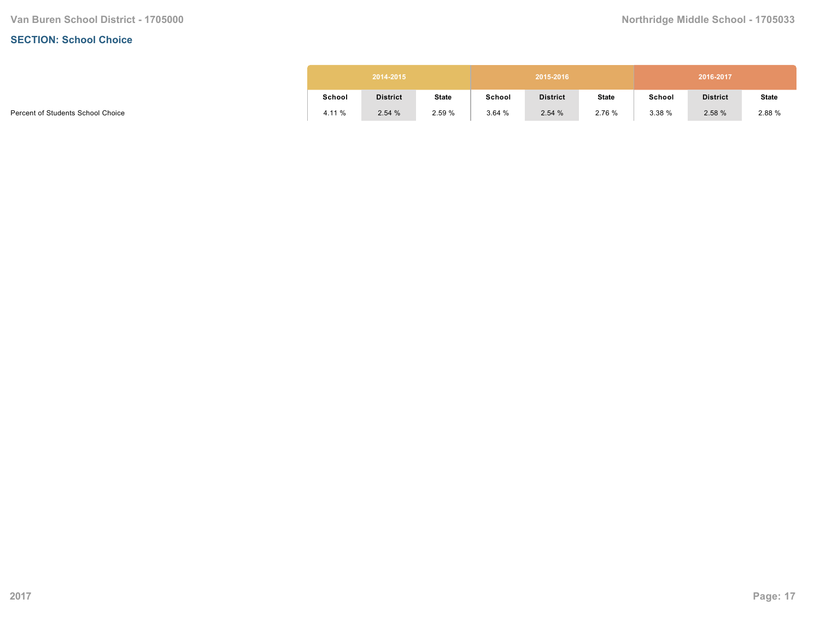#### **SECTION: School Choice**

|        | 2014-2015       |              |        | 2015-2016       |              | 2016-2017 |                 |              |  |  |
|--------|-----------------|--------------|--------|-----------------|--------------|-----------|-----------------|--------------|--|--|
| School | <b>District</b> | <b>State</b> | School | <b>District</b> | <b>State</b> | School    | <b>District</b> | <b>State</b> |  |  |
| 4.11 % | 2.54%           | 2.59 %       | 3.64%  | 2.54%           | 2.76 %       | 3.38%     | 2.58 %          | 2.88 %       |  |  |

Percent of Students School Choice